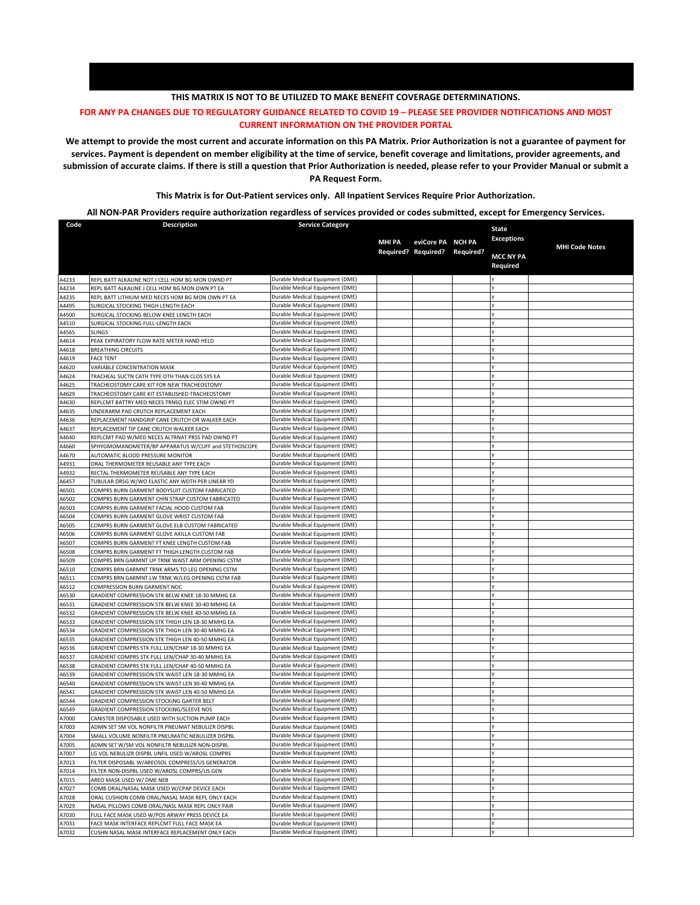## **THIS MATRIX IS NOT TO BE UTILIZED TO MAKE BENEFIT COVERAGE DETERMINATIONS.**

## **FOR ANY PA CHANGES DUE TO REGULATORY GUIDANCE RELATED TO COVID 19 – PLEASE SEE PROVIDER NOTIFICATIONS AND MOST CURRENT INFORMATION ON THE PROVIDER PORTAL**

**We attempt to provide the most current and accurate information on this PA Matrix. Prior Authorization is not a guarantee of payment for services. Payment is dependent on member eligibility at the time of service, benefit coverage and limitations, provider agreements, and submission of accurate claims. If there is still a question that Prior Authorization is needed, please refer to your Provider Manual or submit a PA Request Form.**

**This Matrix is for Out-Patient services only. All Inpatient Services Require Prior Authorization.**

## **All NON-PAR Providers require authorization regardless of services provided or codes submitted, except for Emergency Services.**

| Code           | <b>Description</b>                                                                                  | <b>Service Category</b>                                            |        |                               |                            |                       |
|----------------|-----------------------------------------------------------------------------------------------------|--------------------------------------------------------------------|--------|-------------------------------|----------------------------|-----------------------|
|                |                                                                                                     |                                                                    |        |                               | State<br><b>Exceptions</b> |                       |
|                |                                                                                                     |                                                                    | MHI PA | eviCore PA NCH PA             |                            | <b>MHI Code Notes</b> |
|                |                                                                                                     |                                                                    |        | Required? Required? Required? | <b>MCC NY PA</b>           |                       |
|                |                                                                                                     |                                                                    |        |                               | Required                   |                       |
| A4233          | REPL BATT ALKALINE NOT J CELL HOM BG MON OWND PT                                                    | Durable Medical Equipment (DME)                                    |        |                               |                            |                       |
| A4234          | REPL BATT ALKALINE J CELL HOM BG MON OWN PT EA                                                      | Durable Medical Equipment (DME)                                    |        |                               |                            |                       |
| A4235          | REPL BATT LITHIUM MED NECES HOM BG MON OWN PT EA                                                    | Durable Medical Equipment (DME)                                    |        |                               |                            |                       |
| A4495          | SURGICAL STOCKING THIGH LENGTH EACH                                                                 | Durable Medical Equipment (DME)                                    |        |                               |                            |                       |
| 44500          | SURGICAL STOCKING BELOW KNEE LENGTH EACH                                                            | Durable Medical Equipment (DME)                                    |        |                               |                            |                       |
| A4510          | SURGICAL STOCKING FULL-LENGTH EACH                                                                  | Durable Medical Equipment (DME)                                    |        |                               |                            |                       |
| 44565          | <b>SLINGS</b>                                                                                       | Durable Medical Equipment (DME)                                    |        |                               |                            |                       |
| 44614          | PEAK EXPIRATORY FLOW RATE METER HAND HELD                                                           | Durable Medical Equipment (DME)                                    |        |                               |                            |                       |
| A4618<br>44619 | <b>BREATHING CIRCUITS</b>                                                                           | Durable Medical Equipment (DME)<br>Durable Medical Equipment (DME) |        |                               |                            |                       |
| 44620          | <b>FACE TENT</b><br>VARIABLE CONCENTRATION MASK                                                     | Durable Medical Equipment (DME)                                    |        |                               |                            |                       |
| 44624          | TRACHEAL SUCTN CATH TYPE OTH THAN CLOS SYS EA                                                       | Durable Medical Equipment (DME)                                    |        |                               |                            |                       |
| A4625          | TRACHEOSTOMY CARE KIT FOR NEW TRACHEOSTOMY                                                          | Durable Medical Equipment (DME)                                    |        |                               |                            |                       |
| 44629          | TRACHEOSTOMY CARE KIT ESTABLISHED TRACHEOSTOMY                                                      | Durable Medical Equipment (DME)                                    |        |                               |                            |                       |
| 14630          | REPLCMT BATTRY MED NECES TRNSQ ELEC STIM OWND PT                                                    | Durable Medical Equipment (DME)                                    |        |                               |                            |                       |
| 44635          | UNDERARM PAD CRUTCH REPLACEMENT EACH                                                                | Durable Medical Equipment (DME)                                    |        |                               |                            |                       |
| A4636          | REPLACEMENT HANDGRIP CANE CRUTCH OR WALKER EACH                                                     | Durable Medical Equipment (DME)                                    |        |                               |                            |                       |
| A4637          | REPLACEMENT TIP CANE CRUTCH WALKER EACH                                                             | Durable Medical Equipment (DME)                                    |        |                               |                            |                       |
| 44640          | REPLCMT PAD W/MED NECES ALTRNAT PRSS PAD OWND PT                                                    | Durable Medical Equipment (DME)                                    |        |                               |                            |                       |
| A4660          | SPHYGMOMANOMETER/BP APPARATUS W/CUFF and STETHOSCOPE                                                | Durable Medical Equipment (DME)                                    |        |                               |                            |                       |
| 44670          | AUTOMATIC BLOOD PRESSURE MONITOR                                                                    | Durable Medical Equipment (DME)                                    |        |                               |                            |                       |
| 44931          | ORAL THERMOMETER REUSABLE ANY TYPE EACH                                                             | Durable Medical Equipment (DME)<br>Durable Medical Equipment (DME) |        |                               |                            |                       |
| 44932<br>46457 | RECTAL THERMOMETER REUSABLE ANY TYPE EACH<br>TUBULAR DRSG W/WO ELASTIC ANY WDTH PER LINEAR YD       | Durable Medical Equipment (DME)                                    |        |                               |                            |                       |
| A6501          | COMPRS BURN GARMENT BODYSUIT CUSTOM FABRICATED                                                      | Durable Medical Equipment (DME)                                    |        |                               |                            |                       |
| 46502          | COMPRS BURN GARMENT CHIN STRAP CUSTOM FABRICATED                                                    | Durable Medical Equipment (DME)                                    |        |                               |                            |                       |
| A6503          | COMPRS BURN GARMENT FACIAL HOOD CUSTOM FAB                                                          | Durable Medical Equipment (DME)                                    |        |                               |                            |                       |
| A6504          | COMPRS BURN GARMENT GLOVE WRIST CUSTOM FAB                                                          | Durable Medical Equipment (DME)                                    |        |                               |                            |                       |
| A6505          | COMPRS BURN GARMENT GLOVE ELB CUSTOM FABRICATED                                                     | Durable Medical Equipment (DME)                                    |        |                               |                            |                       |
| 46506          | COMPRS BURN GARMENT GLOVE AXILLA CUSTOM FAB                                                         | Durable Medical Equipment (DME)                                    |        |                               |                            |                       |
| 46507          | COMPRS BURN GARMENT FT KNEE LENGTH CUSTOM FAB                                                       | Durable Medical Equipment (DME)                                    |        |                               |                            |                       |
| 46508          | COMPRS BURN GARMENT FT THIGH LENGTH CUSTOM FAB                                                      | Durable Medical Equipment (DME)<br>Durable Medical Equipment (DME) |        |                               |                            |                       |
| A6509<br>A6510 | COMPRS BRN GARMNT UP TRNK WAIST ARM OPENING CSTM<br>COMPRS BRN GARMNT TRNK ARMS TO LEG OPENING CSTM | Durable Medical Equipment (DME)                                    |        |                               |                            |                       |
| A6511          | COMPRS BRN GARMNT LW TRNK W/LEG OPENING CSTM FAB                                                    | Durable Medical Equipment (DME)                                    |        |                               |                            |                       |
| A6512          | COMPRESSION BURN GARMENT NOC                                                                        | Durable Medical Equipment (DME)                                    |        |                               |                            |                       |
| A6530          | GRADIENT COMPRESSION STK BELW KNEE 18-30 MMHG EA                                                    | Durable Medical Equipment (DME)                                    |        |                               |                            |                       |
| A6531          | GRADIENT COMPRESSION STK BELW KNEE 30-40 MMHG EA                                                    | Durable Medical Equipment (DME)                                    |        |                               |                            |                       |
| A6532          | GRADIENT COMPRESSION STK BELW KNEE 40-50 MMHG EA                                                    | Durable Medical Equipment (DME)                                    |        |                               |                            |                       |
| 46533          | GRADIENT COMPRESSION STK THIGH LEN 18-30 MMHG EA                                                    | Durable Medical Equipment (DME)                                    |        |                               |                            |                       |
| A6534          | GRADIENT COMPRESSION STK THIGH LEN 30-40 MMHG EA                                                    | Durable Medical Equipment (DME)                                    |        |                               |                            |                       |
| A6535          | GRADIENT COMPRESSION STK THIGH LEN 40-50 MMHG EA                                                    | Durable Medical Equipment (DME)                                    |        |                               |                            |                       |
| A6536          | GRADIENT COMPRS STK FULL LEN/CHAP 18-30 MMHG EA                                                     | Durable Medical Equipment (DME)<br>Durable Medical Equipment (DME) |        |                               |                            |                       |
| A6537<br>A6538 | GRADIENT COMPRS STK FULL LEN/CHAP 30-40 MMHG EA<br>GRADIENT COMPRS STK FULL LEN/CHAP 40-50 MMHG EA  | Durable Medical Equipment (DME)                                    |        |                               |                            |                       |
| A6539          | GRADIENT COMPRESSION STK WAIST LEN 18-30 MMHG EA                                                    | Durable Medical Equipment (DME)                                    |        |                               |                            |                       |
| 46540          | GRADIENT COMPRESSION STK WAIST LEN 30-40 MMHG EA                                                    | Durable Medical Equipment (DME)                                    |        |                               |                            |                       |
| A6541          | GRADIENT COMPRESSION STK WAIST LEN 40-50 MMHG EA                                                    | Durable Medical Equipment (DME)                                    |        |                               |                            |                       |
| A6544          | GRADIENT COMPRESSION STOCKING GARTER BELT                                                           | Durable Medical Equipment (DME)                                    |        |                               |                            |                       |
| A6549          | GRADIENT COMPRESSION STOCKING/SLEEVE NOS                                                            | Durable Medical Equipment (DME)                                    |        |                               |                            |                       |
| A7000          | CANISTER DISPOSABLE USED WITH SUCTION PUMP EACH                                                     | Durable Medical Equipment (DME)                                    |        |                               |                            |                       |
| A7003          | ADMN SET SM VOL NONFILTR PNEUMAT NEBULIZR DISPBL                                                    | Durable Medical Equipment (DME)                                    |        |                               |                            |                       |
| A7004          | SMALL VOLUME NONFILTR PNEUMATIC NEBULIZER DISPBL                                                    | Durable Medical Equipment (DME)<br>Durable Medical Equipment (DME) |        |                               |                            |                       |
| A7005<br>A7007 | ADMN SET W/SM VOL NONFILTR NEBULIZR NON-DISPBL<br>LG VOL NEBULIZR DISPBL UNFIL USED W/AROSL COMPRS  | Durable Medical Equipment (DME)                                    |        |                               |                            |                       |
| A7013          | FILTER DISPOSABL W/AREOSOL COMPRESS/US GENERATOR                                                    | Durable Medical Equipment (DME)                                    |        |                               |                            |                       |
| A7014          | FILTER NON-DISPBL USED W/AROSL COMPRS/US GEN                                                        | Durable Medical Equipment (DME)                                    |        |                               |                            |                       |
| A7015          | AREO MASK USED W/ DME NEB                                                                           | Durable Medical Equipment (DME)                                    |        |                               |                            |                       |
| A7027          | COMB ORAL/NASAL MASK USED W/CPAP DEVICE EACH                                                        | Durable Medical Equipment (DME)                                    |        |                               |                            |                       |
| A7028          | ORAL CUSHION COMB ORAL/NASAL MASK REPL ONLY EACH                                                    | Durable Medical Equipment (DME)                                    |        |                               |                            |                       |
| A7029          | NASAL PILLOWS COMB ORAL/NASL MASK REPL ONLY PAIR                                                    | Durable Medical Equipment (DME)                                    |        |                               |                            |                       |
| A7030          | FULL FACE MASK USED W/POS ARWAY PRESS DEVICE EA                                                     | Durable Medical Equipment (DME)                                    |        |                               |                            |                       |
| A7031          | FACE MASK INTERFACE REPLCMT FULL FACE MASK EA                                                       | Durable Medical Equipment (DME)                                    |        |                               |                            |                       |
| A7032          | CUSHN NASAL MASK INTERFACE REPLACEMENT ONLY EACH                                                    | Durable Medical Equipment (DME)                                    |        |                               | Y                          |                       |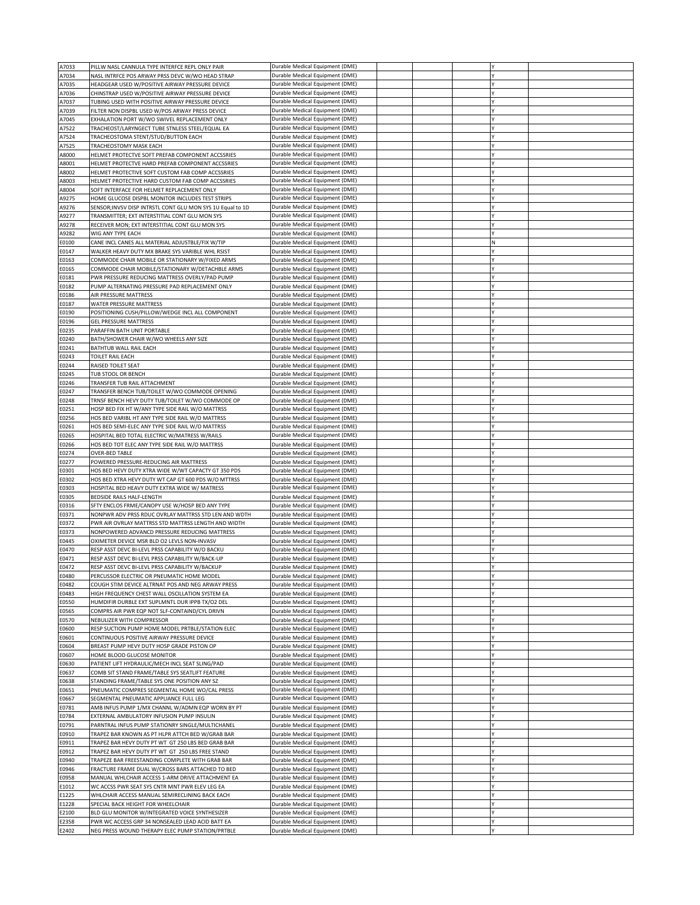| A7033 | PILLW NASL CANNULA TYPE INTERFCE REPL ONLY PAIR            | Durable Medical Equipment (DME) |  |   |  |
|-------|------------------------------------------------------------|---------------------------------|--|---|--|
| A7034 | NASL INTRFCE POS ARWAY PRSS DEVC W/WO HEAD STRAP           | Durable Medical Equipment (DME) |  |   |  |
| A7035 | HEADGEAR USED W/POSITIVE AIRWAY PRESSURE DEVICE            | Durable Medical Equipment (DME) |  |   |  |
| A7036 | CHINSTRAP USED W/POSITIVE AIRWAY PRESSURE DEVICE           | Durable Medical Equipment (DME) |  |   |  |
| A7037 | TUBING USED WITH POSITIVE AIRWAY PRESSURE DEVICE           | Durable Medical Equipment (DME) |  |   |  |
| A7039 | FILTER NON DISPBL USED W/POS ARWAY PRESS DEVICE            | Durable Medical Equipment (DME) |  |   |  |
| A7045 | EXHALATION PORT W/WO SWIVEL REPLACEMENT ONLY               | Durable Medical Equipment (DME) |  |   |  |
| A7522 | TRACHEOST/LARYNGECT TUBE STNLESS STEEL/EQUAL EA            | Durable Medical Equipment (DME) |  |   |  |
| A7524 | TRACHEOSTOMA STENT/STUD/BUTTON EACH                        | Durable Medical Equipment (DME) |  |   |  |
| A7525 | TRACHEOSTOMY MASK EACH                                     | Durable Medical Equipment (DME) |  |   |  |
| A8000 | HELMET PROTECTVE SOFT PREFAB COMPONENT ACCSSRIES           | Durable Medical Equipment (DME) |  |   |  |
| A8001 | HELMET PROTECTVE HARD PREFAB COMPONENT ACCSSRIES           | Durable Medical Equipment (DME) |  |   |  |
| A8002 | HELMET PROTECTIVE SOFT CUSTOM FAB COMP ACCSSRIES           | Durable Medical Equipment (DME) |  |   |  |
| A8003 | HELMET PROTECTIVE HARD CUSTOM FAB COMP ACCSSRIES           | Durable Medical Equipment (DME) |  |   |  |
| A8004 | SOFT INTERFACE FOR HELMET REPLACEMENT ONLY                 | Durable Medical Equipment (DME) |  |   |  |
|       |                                                            |                                 |  |   |  |
| A9275 | HOME GLUCOSE DISPBL MONITOR INCLUDES TEST STRIPS           | Durable Medical Equipment (DME) |  |   |  |
| A9276 | SENSOR; INVSV DISP INTRSTL CONT GLU MON SYS 1U Equal to 1D | Durable Medical Equipment (DME) |  |   |  |
| A9277 | TRANSMITTER: EXT INTERSTITIAL CONT GLU MON SYS             | Durable Medical Equipment (DME) |  |   |  |
| A9278 | RECEIVER MON; EXT INTERSTITIAL CONT GLU MON SYS            | Durable Medical Equipment (DME) |  |   |  |
| A9282 | WIG ANY TYPE EACH                                          | Durable Medical Equipment (DME) |  |   |  |
| E0100 | CANE INCL CANES ALL MATERIAL ADJUSTBLE/FIX W/TIP           | Durable Medical Equipment (DME) |  | N |  |
| E0147 | WALKER HEAVY DUTY MX BRAKE SYS VARIBLE WHL RSIST           | Durable Medical Equipment (DME) |  |   |  |
| E0163 | COMMODE CHAIR MOBILE OR STATIONARY W/FIXED ARMS            | Durable Medical Equipment (DME) |  |   |  |
| E0165 | COMMODE CHAIR MOBILE/STATIONARY W/DETACHBLE ARMS           | Durable Medical Equipment (DME) |  |   |  |
| E0181 | PWR PRESSURE REDUCING MATTRESS OVERLY/PAD PUMP             | Durable Medical Equipment (DME) |  |   |  |
| E0182 | PUMP ALTERNATING PRESSURE PAD REPLACEMENT ONLY             | Durable Medical Equipment (DME) |  |   |  |
| E0186 | AIR PRESSURE MATTRESS                                      | Durable Medical Equipment (DME) |  |   |  |
| E0187 | WATER PRESSURE MATTRESS                                    | Durable Medical Equipment (DME) |  |   |  |
| E0190 | POSITIONING CUSH/PILLOW/WEDGE INCL ALL COMPONENT           | Durable Medical Equipment (DME) |  |   |  |
| E0196 | <b>GEL PRESSURE MATTRESS</b>                               | Durable Medical Equipment (DME) |  |   |  |
| E0235 | PARAFFIN BATH UNIT PORTABLE                                | Durable Medical Equipment (DME) |  |   |  |
| E0240 | BATH/SHOWER CHAIR W/WO WHEELS ANY SIZE                     | Durable Medical Equipment (DME) |  |   |  |
| E0241 | BATHTUB WALL RAIL EACH                                     | Durable Medical Equipment (DME) |  |   |  |
| E0243 | TOILET RAIL EACH                                           | Durable Medical Equipment (DME) |  |   |  |
| E0244 | RAISED TOILET SEAT                                         |                                 |  |   |  |
|       |                                                            | Durable Medical Equipment (DME) |  |   |  |
| E0245 | TUB STOOL OR BENCH                                         | Durable Medical Equipment (DME) |  |   |  |
| E0246 | TRANSFER TUB RAIL ATTACHMENT                               | Durable Medical Equipment (DME) |  |   |  |
| E0247 | TRANSFER BENCH TUB/TOILET W/WO COMMODE OPENING             | Durable Medical Equipment (DME) |  |   |  |
| E0248 | TRNSF BENCH HEVY DUTY TUB/TOILET W/WO COMMODE OP           | Durable Medical Equipment (DME) |  |   |  |
| E0251 | HOSP BED FIX HT W/ANY TYPE SIDE RAIL W/O MATTRSS           | Durable Medical Equipment (DME) |  |   |  |
| E0256 | HOS BED VARIBL HT ANY TYPE SIDE RAIL W/O MATTRSS           | Durable Medical Equipment (DME) |  |   |  |
| E0261 | HOS BED SEMI-ELEC ANY TYPE SIDE RAIL W/O MATTRSS           | Durable Medical Equipment (DME) |  |   |  |
| E0265 | HOSPITAL BED TOTAL ELECTRIC W/MATRESS W/RAILS              | Durable Medical Equipment (DME) |  |   |  |
| E0266 | HOS BED TOT ELEC ANY TYPE SIDE RAIL W/O MATTRSS            | Durable Medical Equipment (DME) |  |   |  |
|       |                                                            |                                 |  |   |  |
| E0274 | <b>OVER-BED TABLE</b>                                      | Durable Medical Equipment (DME) |  |   |  |
| E0277 | POWERED PRESSURE-REDUCING AIR MATTRESS                     | Durable Medical Equipment (DME) |  |   |  |
| E0301 | HOS BED HEVY DUTY XTRA WIDE W/WT CAPACTY GT 350 PDS        | Durable Medical Equipment (DME) |  |   |  |
| E0302 | HOS BED XTRA HEVY DUTY WT CAP GT 600 PDS W/O MTTRSS        |                                 |  |   |  |
|       |                                                            | Durable Medical Equipment (DME) |  |   |  |
| E0303 | HOSPITAL BED HEAVY DUTY EXTRA WIDE W/ MATRESS              | Durable Medical Equipment (DME) |  |   |  |
| E0305 | BEDSIDE RAILS HALF-LENGTH                                  | Durable Medical Equipment (DME) |  |   |  |
| E0316 | SFTY ENCLOS FRME/CANOPY USE W/HOSP BED ANY TYPE            | Durable Medical Equipment (DME) |  |   |  |
| E0371 | NONPWR ADV PRSS RDUC OVRLAY MATTRSS STD LEN AND WDTH       | Durable Medical Equipment (DME) |  |   |  |
| E0372 | PWR AIR OVRLAY MATTRSS STD MATTRSS LENGTH AND WIDTH        | Durable Medical Equipment (DME) |  |   |  |
| E0373 | NONPOWERED ADVANCD PRESSURE REDUCING MATTRESS              | Durable Medical Equipment (DME) |  |   |  |
| E0445 | OXIMETER DEVICE MSR BLD O2 LEVLS NON-INVASV                | Durable Medical Equipment (DME) |  |   |  |
| E0470 | RESP ASST DEVC BI-LEVL PRSS CAPABILITY W/O BACKU           | Durable Medical Equipment (DME) |  |   |  |
| E0471 | RESP ASST DEVC BI-LEVL PRSS CAPABILITY W/BACK-UP           | Durable Medical Equipment (DME) |  |   |  |
| E0472 | RESP ASST DEVC BI-LEVL PRSS CAPABILITY W/BACKUP            | Durable Medical Equipment (DME) |  |   |  |
| E0480 | PERCUSSOR ELECTRIC OR PNEUMATIC HOME MODEL                 | Durable Medical Equipment (DME) |  |   |  |
| E0482 | COUGH STIM DEVICE ALTRNAT POS AND NEG ARWAY PRESS          | Durable Medical Equipment (DME) |  |   |  |
| E0483 | HIGH FREQUENCY CHEST WALL OSCILLATION SYSTEM EA            | Durable Medical Equipment (DME) |  |   |  |
| E0550 | HUMDIFIR DURBLE EXT SUPLMNTL DUR IPPB TX/O2 DEL            | Durable Medical Equipment (DME) |  |   |  |
| E0565 | COMPRS AIR PWR EQP NOT SLF-CONTAIND/CYL DRIVN              | Durable Medical Equipment (DME) |  |   |  |
| E0570 | NEBULIZER WITH COMPRESSOR                                  | Durable Medical Equipment (DME) |  |   |  |
| E0600 | RESP SUCTION PUMP HOME MODEL PRTBLE/STATION ELEC           | Durable Medical Equipment (DME) |  |   |  |
| E0601 | CONTINUOUS POSITIVE AIRWAY PRESSURE DEVICE                 | Durable Medical Equipment (DME) |  |   |  |
| E0604 | BREAST PUMP HEVY DUTY HOSP GRADE PISTON OP                 | Durable Medical Equipment (DME) |  |   |  |
| E0607 |                                                            |                                 |  |   |  |
|       | HOME BLOOD GLUCOSE MONITOR                                 | Durable Medical Equipment (DME) |  |   |  |
| E0630 | PATIENT LIFT HYDRAULIC/MECH INCL SEAT SLING/PAD            | Durable Medical Equipment (DME) |  |   |  |
| E0637 | COMB SIT STAND FRAME/TABLE SYS SEATLIFT FEATURE            | Durable Medical Equipment (DME) |  |   |  |
| E0638 | STANDING FRAME/TABLE SYS ONE POSITION ANY SZ               | Durable Medical Equipment (DME) |  |   |  |
| E0651 | PNEUMATIC COMPRES SEGMENTAL HOME WO/CAL PRESS              | Durable Medical Equipment (DME) |  |   |  |
| E0667 | SEGMENTAL PNEUMATIC APPLIANCE FULL LEG                     | Durable Medical Equipment (DME) |  |   |  |
| E0781 | AMB INFUS PUMP 1/MX CHANNL W/ADMN EQP WORN BY PT           | Durable Medical Equipment (DME) |  |   |  |
| E0784 | EXTERNAL AMBULATORY INFUSION PUMP INSULIN                  | Durable Medical Equipment (DME) |  |   |  |
| E0791 | PARNTRAL INFUS PUMP STATIONRY SINGLE/MULTICHANEL           | Durable Medical Equipment (DME) |  |   |  |
| E0910 | TRAPEZ BAR KNOWN AS PT HLPR ATTCH BED W/GRAB BAR           | Durable Medical Equipment (DME) |  |   |  |
| E0911 | TRAPEZ BAR HEVY DUTY PT WT GT 250 LBS BED GRAB BAR         | Durable Medical Equipment (DME) |  |   |  |
| E0912 | TRAPEZ BAR HEVY DUTY PT WT GT 250 LBS FREE STAND           | Durable Medical Equipment (DME) |  |   |  |
| E0940 | TRAPEZE BAR FREESTANDING COMPLETE WITH GRAB BAR            | Durable Medical Equipment (DME) |  |   |  |
| E0946 | FRACTURE FRAME DUAL W/CROSS BARS ATTACHED TO BED           | Durable Medical Equipment (DME) |  |   |  |
| E0958 | MANUAL WHLCHAIR ACCESS 1-ARM DRIVE ATTACHMENT EA           | Durable Medical Equipment (DME) |  |   |  |
| E1012 | WC ACCSS PWR SEAT SYS CNTR MNT PWR ELEV LEG EA             | Durable Medical Equipment (DME) |  |   |  |
| E1225 | WHLCHAIR ACCESS MANUAL SEMIRECLINING BACK EACH             | Durable Medical Equipment (DME) |  |   |  |
| E1228 | SPECIAL BACK HEIGHT FOR WHEELCHAIR                         | Durable Medical Equipment (DME) |  |   |  |
| E2100 | BLD GLU MONITOR W/INTEGRATED VOICE SYNTHESIZER             | Durable Medical Equipment (DME) |  |   |  |
| E2358 | PWR WC ACCESS GRP 34 NONSEALED LEAD ACID BATT EA           | Durable Medical Equipment (DME) |  |   |  |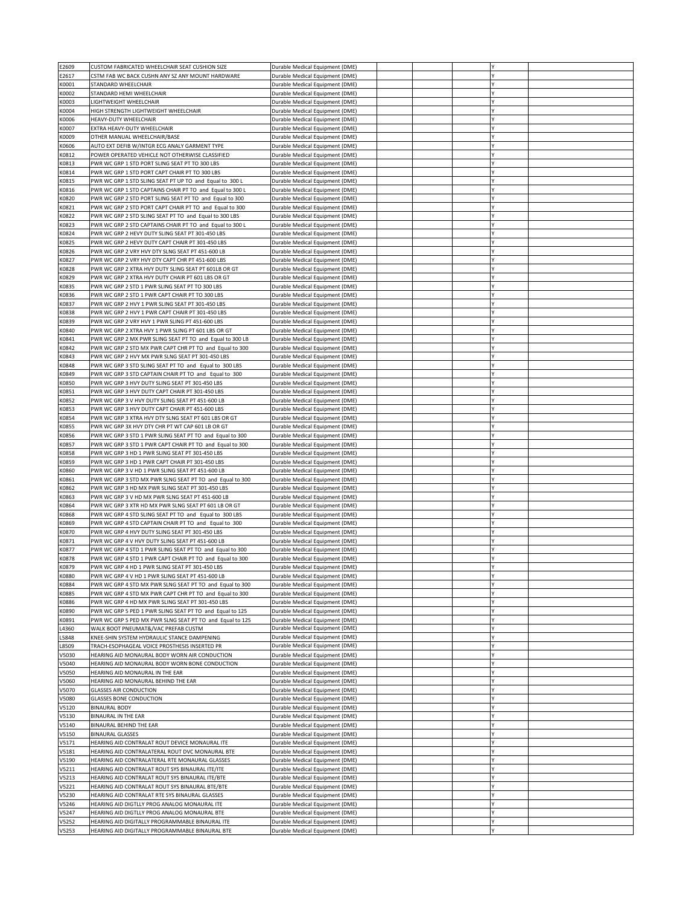| E2609          | CUSTOM FABRICATED WHEELCHAIR SEAT CUSHION SIZE                                                           | Durable Medical Equipment (DME)                                    |  |  |  |
|----------------|----------------------------------------------------------------------------------------------------------|--------------------------------------------------------------------|--|--|--|
| E2617          | CSTM FAB WC BACK CUSHN ANY SZ ANY MOUNT HARDWARE                                                         | Durable Medical Equipment (DME)                                    |  |  |  |
| K0001          | STANDARD WHEELCHAIR                                                                                      | Durable Medical Equipment (DME)                                    |  |  |  |
| K0002          | STANDARD HEMI WHEELCHAIR                                                                                 | Durable Medical Equipment (DME)                                    |  |  |  |
| K0003          | LIGHTWEIGHT WHEELCHAIR                                                                                   | Durable Medical Equipment (DME)                                    |  |  |  |
| K0004          | HIGH STRENGTH LIGHTWEIGHT WHEELCHAIR                                                                     | Durable Medical Equipment (DME)                                    |  |  |  |
| K0006          | HEAVY-DUTY WHEELCHAIR                                                                                    | Durable Medical Equipment (DME)                                    |  |  |  |
| K0007          | EXTRA HEAVY-DUTY WHEELCHAIR                                                                              | Durable Medical Equipment (DME)                                    |  |  |  |
| K0009          | OTHER MANUAL WHEELCHAIR/BASE                                                                             | Durable Medical Equipment (DME)                                    |  |  |  |
| K0606          | AUTO EXT DEFIB W/INTGR ECG ANALY GARMENT TYPE                                                            | Durable Medical Equipment (DME)                                    |  |  |  |
| K0812          | POWER OPERATED VEHICLE NOT OTHERWISE CLASSIFIED                                                          | Durable Medical Equipment (DME)                                    |  |  |  |
| K0813          | PWR WC GRP 1 STD PORT SLING SEAT PT TO 300 LBS                                                           | Durable Medical Equipment (DME)                                    |  |  |  |
| K0814          | PWR WC GRP 1 STD PORT CAPT CHAIR PT TO 300 LBS                                                           | Durable Medical Equipment (DME)                                    |  |  |  |
| K0815          | PWR WC GRP 1 STD SLING SEAT PT UP TO and Equal to 300 L                                                  | Durable Medical Equipment (DME)                                    |  |  |  |
| K0816          | PWR WC GRP 1 STD CAPTAINS CHAIR PT TO and Equal to 300 L                                                 | Durable Medical Equipment (DME)                                    |  |  |  |
| K0820          | PWR WC GRP 2 STD PORT SLING SEAT PT TO and Equal to 300                                                  | Durable Medical Equipment (DME)                                    |  |  |  |
| K0821          | PWR WC GRP 2 STD PORT CAPT CHAIR PT TO and Equal to 300                                                  | Durable Medical Equipment (DME)                                    |  |  |  |
| K0822          | PWR WC GRP 2 STD SLING SEAT PT TO and Equal to 300 LBS                                                   | Durable Medical Equipment (DME)                                    |  |  |  |
| K0823          | PWR WC GRP 2 STD CAPTAINS CHAIR PT TO and Equal to 300 L                                                 | Durable Medical Equipment (DME)                                    |  |  |  |
| K0824          | PWR WC GRP 2 HEVY DUTY SLING SEAT PT 301-450 LBS                                                         | Durable Medical Equipment (DME)                                    |  |  |  |
| K0825          | PWR WC GRP 2 HEVY DUTY CAPT CHAIR PT 301-450 LBS                                                         | Durable Medical Equipment (DME)                                    |  |  |  |
| K0826          | PWR WC GRP 2 VRY HVY DTY SLNG SEAT PT 451-600 LB                                                         | Durable Medical Equipment (DME)                                    |  |  |  |
| K0827<br>K0828 | PWR WC GRP 2 VRY HVY DTY CAPT CHR PT 451-600 LBS<br>PWR WC GRP 2 XTRA HVY DUTY SLING SEAT PT 601LB OR GT | Durable Medical Equipment (DME)<br>Durable Medical Equipment (DME) |  |  |  |
| K0829          | PWR WC GRP 2 XTRA HVY DUTY CHAIR PT 601 LBS OR GT                                                        | Durable Medical Equipment (DME)                                    |  |  |  |
| K0835          | PWR WC GRP 2 STD 1 PWR SLING SEAT PT TO 300 LBS                                                          | Durable Medical Equipment (DME)                                    |  |  |  |
| K0836          | PWR WC GRP 2 STD 1 PWR CAPT CHAIR PT TO 300 LBS                                                          | Durable Medical Equipment (DME)                                    |  |  |  |
| K0837          | PWR WC GRP 2 HVY 1 PWR SLING SEAT PT 301-450 LBS                                                         | Durable Medical Equipment (DME)                                    |  |  |  |
| K0838          | PWR WC GRP 2 HVY 1 PWR CAPT CHAIR PT 301-450 LBS                                                         | Durable Medical Equipment (DME)                                    |  |  |  |
| K0839          | PWR WC GRP 2 VRY HVY 1 PWR SLING PT 451-600 LBS                                                          | Durable Medical Equipment (DME)                                    |  |  |  |
| K0840          | PWR WC GRP 2 XTRA HVY 1 PWR SLING PT 601 LBS OR GT                                                       | Durable Medical Equipment (DME)                                    |  |  |  |
| K0841          | PWR WC GRP 2 MX PWR SLING SEAT PT TO and Equal to 300 LB                                                 | Durable Medical Equipment (DME)                                    |  |  |  |
| K0842          | PWR WC GRP 2 STD MX PWR CAPT CHR PT TO and Equal to 300                                                  | Durable Medical Equipment (DME)                                    |  |  |  |
| K0843          | PWR WC GRP 2 HVY MX PWR SLNG SEAT PT 301-450 LBS                                                         | Durable Medical Equipment (DME)                                    |  |  |  |
| K0848          | PWR WC GRP 3 STD SLING SEAT PT TO and Equal to 300 LBS                                                   | Durable Medical Equipment (DME)                                    |  |  |  |
| K0849          | PWR WC GRP 3 STD CAPTAIN CHAIR PT TO and Equal to 300                                                    | Durable Medical Equipment (DME)                                    |  |  |  |
| K0850          | PWR WC GRP 3 HVY DUTY SLING SEAT PT 301-450 LBS                                                          | Durable Medical Equipment (DME)                                    |  |  |  |
| K0851          | PWR WC GRP 3 HVY DUTY CAPT CHAIR PT 301-450 LBS                                                          | Durable Medical Equipment (DME)                                    |  |  |  |
| K0852          | PWR WC GRP 3 V HVY DUTY SLING SEAT PT 451-600 LB                                                         | Durable Medical Equipment (DME)                                    |  |  |  |
| K0853          | PWR WC GRP 3 HVY DUTY CAPT CHAIR PT 451-600 LBS                                                          | Durable Medical Equipment (DME)                                    |  |  |  |
| K0854          | PWR WC GRP 3 XTRA HVY DTY SLNG SEAT PT 601 LBS OR GT                                                     | Durable Medical Equipment (DME)                                    |  |  |  |
| K0855          | PWR WC GRP 3X HVY DTY CHR PT WT CAP 601 LB OR GT                                                         | Durable Medical Equipment (DME)                                    |  |  |  |
| K0856          | PWR WC GRP 3 STD 1 PWR SLING SEAT PT TO and Equal to 300                                                 | Durable Medical Equipment (DME)                                    |  |  |  |
| K0857          | PWR WC GRP 3 STD 1 PWR CAPT CHAIR PT TO and Equal to 300                                                 | Durable Medical Equipment (DME)                                    |  |  |  |
| K0858          | PWR WC GRP 3 HD 1 PWR SLING SEAT PT 301-450 LBS                                                          | Durable Medical Equipment (DME)                                    |  |  |  |
| K0859          | PWR WC GRP 3 HD 1 PWR CAPT CHAIR PT 301-450 LBS                                                          | Durable Medical Equipment (DME)                                    |  |  |  |
| K0860          | PWR WC GRP 3 V HD 1 PWR SLING SEAT PT 451-600 LB                                                         | Durable Medical Equipment (DME)                                    |  |  |  |
| K0861          | PWR WC GRP 3 STD MX PWR SLNG SEAT PT TO and Equal to 300                                                 | Durable Medical Equipment (DME)                                    |  |  |  |
| K0862          | PWR WC GRP 3 HD MX PWR SLING SEAT PT 301-450 LBS                                                         | Durable Medical Equipment (DME)                                    |  |  |  |
| K0863          | PWR WC GRP 3 V HD MX PWR SLNG SEAT PT 451-600 LB                                                         | Durable Medical Equipment (DME)                                    |  |  |  |
| K0864          | PWR WC GRP 3 XTR HD MX PWR SLNG SEAT PT 601 LB OR GT                                                     | Durable Medical Equipment (DME)                                    |  |  |  |
| K0868          | PWR WC GRP 4 STD SLING SEAT PT TO and Equal to 300 LBS                                                   | Durable Medical Equipment (DME)                                    |  |  |  |
| K0869          | PWR WC GRP 4 STD CAPTAIN CHAIR PT TO and Equal to 300                                                    | Durable Medical Equipment (DME)                                    |  |  |  |
| K0870          | PWR WC GRP 4 HVY DUTY SLING SEAT PT 301-450 LBS<br>PWR WC GRP 4 V HVY DUTY SLING SEAT PT 451-600 LB      | Durable Medical Equipment (DME)                                    |  |  |  |
| K0871          | PWR WC GRP 4 STD 1 PWR SLING SEAT PT TO and Equal to 300                                                 | Durable Medical Equipment (DME)                                    |  |  |  |
| K0877<br>K0878 | PWR WC GRP 4 STD 1 PWR CAPT CHAIR PT TO and Equal to 300                                                 | Durable Medical Equipment (DME)<br>Durable Medical Equipment (DME) |  |  |  |
| K0879          | PWR WC GRP 4 HD 1 PWR SLING SEAT PT 301-450 LBS                                                          | Durable Medical Equipment (DME)                                    |  |  |  |
| <b>K0880</b>   | PWR WC GRP 4 V HD 1 PWR SLING SEAT PT 451-600 LB                                                         | Durable Medical Equipment (DME)                                    |  |  |  |
| K0884          | PWR WC GRP 4 STD MX PWR SLNG SEAT PT TO and Equal to 300                                                 | Durable Medical Equipment (DME)                                    |  |  |  |
| K0885          | PWR WC GRP 4 STD MX PWR CAPT CHR PT TO and Equal to 300                                                  | Durable Medical Equipment (DME)                                    |  |  |  |
| K0886          | PWR WC GRP 4 HD MX PWR SLING SEAT PT 301-450 LBS                                                         | Durable Medical Equipment (DME)                                    |  |  |  |
| K0890          | PWR WC GRP 5 PED 1 PWR SLING SEAT PT TO and Equal to 125                                                 | Durable Medical Equipment (DME)                                    |  |  |  |
| K0891          | PWR WC GRP 5 PED MX PWR SLNG SEAT PT TO and Equal to 125                                                 | Durable Medical Equipment (DME)                                    |  |  |  |
| L4360          | WALK BOOT PNEUMAT&/VAC PREFAB CUSTM                                                                      | Durable Medical Equipment (DME)                                    |  |  |  |
| L5848          | KNEE-SHIN SYSTEM HYDRAULIC STANCE DAMPENING                                                              | Durable Medical Equipment (DME)                                    |  |  |  |
| L8509          | TRACH-ESOPHAGEAL VOICE PROSTHESIS INSERTED PR                                                            | Durable Medical Equipment (DME)                                    |  |  |  |
| V5030          | HEARING AID MONAURAL BODY WORN AIR CONDUCTION                                                            | Durable Medical Equipment (DME)                                    |  |  |  |
| V5040          | HEARING AID MONAURAL BODY WORN BONE CONDUCTION                                                           | Durable Medical Equipment (DME)                                    |  |  |  |
| V5050          | HEARING AID MONAURAL IN THE EAR                                                                          | Durable Medical Equipment (DME)                                    |  |  |  |
| V5060          | HEARING AID MONAURAL BEHIND THE EAR                                                                      | Durable Medical Equipment (DME)                                    |  |  |  |
| V5070          | <b>GLASSES AIR CONDUCTION</b>                                                                            | Durable Medical Equipment (DME)                                    |  |  |  |
| V5080          | <b>GLASSES BONE CONDUCTION</b>                                                                           | Durable Medical Equipment (DME)                                    |  |  |  |
| V5120          | <b>BINAURAL BODY</b>                                                                                     | Durable Medical Equipment (DME)                                    |  |  |  |
| V5130          | <b>BINAURAL IN THE EAR</b>                                                                               | Durable Medical Equipment (DME)                                    |  |  |  |
| V5140          | <b>BINAURAL BEHIND THE EAR</b>                                                                           | Durable Medical Equipment (DME)                                    |  |  |  |
| V5150          | <b>BINAURAL GLASSES</b>                                                                                  | Durable Medical Equipment (DME)                                    |  |  |  |
| V5171          | HEARING AID CONTRALAT ROUT DEVICE MONAURAL ITE                                                           | Durable Medical Equipment (DME)                                    |  |  |  |
| V5181          | HEARING AID CONTRALATERAL ROUT DVC MONAURAL BTE                                                          | Durable Medical Equipment (DME)<br>Durable Medical Equipment (DME) |  |  |  |
| V5190<br>V5211 | HEARING AID CONTRALATERAL RTE MONAURAL GLASSES<br>HEARING AID CONTRALAT ROUT SYS BINAURAL ITE/ITE        | Durable Medical Equipment (DME)                                    |  |  |  |
| V5213          | HEARING AID CONTRALAT ROUT SYS BINAURAL ITE/BTE                                                          | Durable Medical Equipment (DME)                                    |  |  |  |
| V5221          | HEARING AID CONTRALAT ROUT SYS BINAURAL BTE/BTE                                                          | Durable Medical Equipment (DME)                                    |  |  |  |
| V5230          | HEARING AID CONTRALAT RTE SYS BINAURAL GLASSES                                                           | Durable Medical Equipment (DME)                                    |  |  |  |
| V5246          | HEARING AID DIGTLLY PROG ANALOG MONAURAL ITE                                                             | Durable Medical Equipment (DME)                                    |  |  |  |
| V5247          | HEARING AID DIGTLLY PROG ANALOG MONAURAL BTE                                                             | Durable Medical Equipment (DME)                                    |  |  |  |
| V5252          | HEARING AID DIGITALLY PROGRAMMABLE BINAURAL ITE                                                          | Durable Medical Equipment (DME)                                    |  |  |  |
| V5253          | HEARING AID DIGITALLY PROGRAMMABLE BINAURAL BTE                                                          | Durable Medical Equipment (DME)                                    |  |  |  |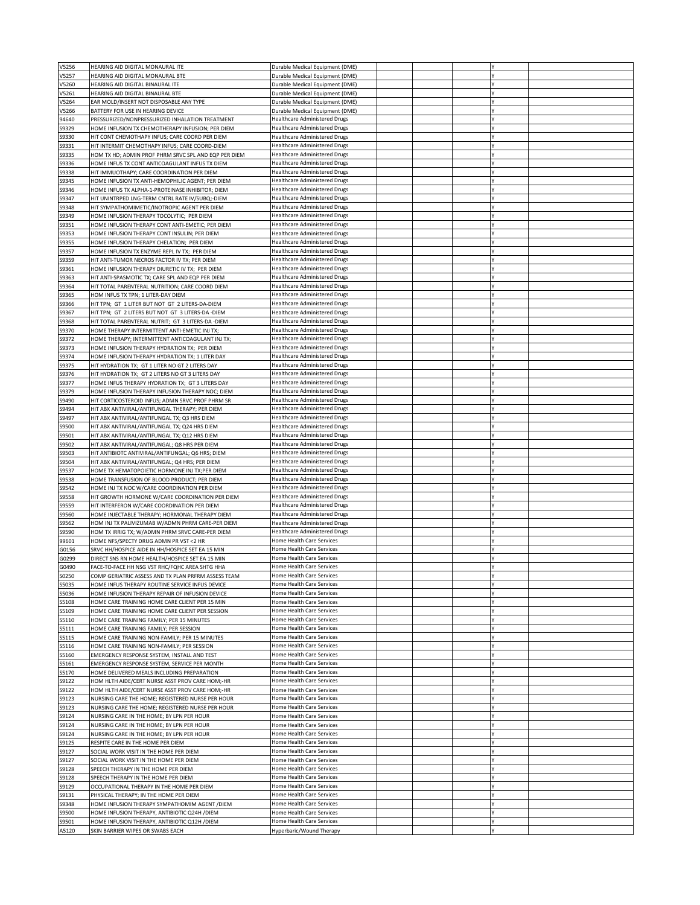| V5256          | HEARING AID DIGITAL MONAURAL ITE                                                  | Durable Medical Equipment (DME)                       |  |  |  |
|----------------|-----------------------------------------------------------------------------------|-------------------------------------------------------|--|--|--|
| V5257          | HEARING AID DIGITAL MONAURAL BTE                                                  | Durable Medical Equipment (DME)                       |  |  |  |
|                |                                                                                   |                                                       |  |  |  |
| V5260          | HEARING AID DIGITAL BINAURAL ITE                                                  | Durable Medical Equipment (DME)                       |  |  |  |
| V5261          | HEARING AID DIGITAL BINAURAL BTE                                                  | Durable Medical Equipment (DME)                       |  |  |  |
| V5264          | EAR MOLD/INSERT NOT DISPOSABLE ANY TYPE                                           | Durable Medical Equipment (DME)                       |  |  |  |
| V5266          | BATTERY FOR USE IN HEARING DEVICE                                                 | Durable Medical Equipment (DME)                       |  |  |  |
|                | PRESSURIZED/NONPRESSURIZED INHALATION TREATMENT                                   | <b>Healthcare Administered Drugs</b>                  |  |  |  |
| 94640          |                                                                                   |                                                       |  |  |  |
| S9329          | HOME INFUSION TX CHEMOTHERAPY INFUSION; PER DIEM                                  | <b>Healthcare Administered Drugs</b>                  |  |  |  |
| S9330          | HIT CONT CHEMOTHAPY INFUS; CARE COORD PER DIEM                                    | <b>Healthcare Administered Drugs</b>                  |  |  |  |
| S9331          | HIT INTERMIT CHEMOTHAPY INFUS; CARE COORD-DIEM                                    | <b>Healthcare Administered Drugs</b>                  |  |  |  |
| S9335          | HOM TX HD; ADMIN PROF PHRM SRVC SPL AND EQP PER DIEM                              | <b>Healthcare Administered Drugs</b>                  |  |  |  |
|                |                                                                                   |                                                       |  |  |  |
| S9336          | HOME INFUS TX CONT ANTICOAGULANT INFUS TX DIEM                                    | <b>Healthcare Administered Drugs</b>                  |  |  |  |
| S9338          | HIT IMMUOTHAPY; CARE COORDINATION PER DIEM                                        | <b>Healthcare Administered Drugs</b>                  |  |  |  |
| S9345          | HOME INFUSION TX ANTI-HEMOPHILIC AGENT; PER DIEM                                  | <b>Healthcare Administered Drugs</b>                  |  |  |  |
| S9346          | HOME INFUS TX ALPHA-1-PROTEINASE INHIBITOR; DIEM                                  | <b>Healthcare Administered Drugs</b>                  |  |  |  |
|                |                                                                                   |                                                       |  |  |  |
| S9347          | HIT UNINTRPED LNG-TERM CNTRL RATE IV/SUBQ;-DIEM                                   | <b>Healthcare Administered Drugs</b>                  |  |  |  |
| S9348          | HIT SYMPATHOMIMETIC/INOTROPIC AGENT PER DIEM                                      | <b>Healthcare Administered Drugs</b>                  |  |  |  |
| S9349          | HOME INFUSION THERAPY TOCOLYTIC; PER DIEM                                         | <b>Healthcare Administered Drugs</b>                  |  |  |  |
| S9351          | HOME INFUSION THERAPY CONT ANTI-EMETIC; PER DIEM                                  | <b>Healthcare Administered Drugs</b>                  |  |  |  |
|                |                                                                                   |                                                       |  |  |  |
| S9353          | HOME INFUSION THERAPY CONT INSULIN; PER DIEM                                      | <b>Healthcare Administered Drugs</b>                  |  |  |  |
| S9355          | HOME INFUSION THERAPY CHELATION; PER DIEM                                         | <b>Healthcare Administered Drugs</b>                  |  |  |  |
| S9357          | HOME INFUSION TX ENZYME REPL IV TX; PER DIEM                                      | <b>Healthcare Administered Drugs</b>                  |  |  |  |
| S9359          | HIT ANTI-TUMOR NECROS FACTOR IV TX; PER DIEM                                      | <b>Healthcare Administered Drugs</b>                  |  |  |  |
|                |                                                                                   | <b>Healthcare Administered Drugs</b>                  |  |  |  |
| S9361          | HOME INFUSION THERAPY DIURETIC IV TX; PER DIEM                                    |                                                       |  |  |  |
| S9363          | HIT ANTI-SPASMOTIC TX; CARE SPL AND EQP PER DIEM                                  | <b>Healthcare Administered Drugs</b>                  |  |  |  |
| S9364          | HIT TOTAL PARENTERAL NUTRITION; CARE COORD DIEM                                   | <b>Healthcare Administered Drugs</b>                  |  |  |  |
| S9365          | HOM INFUS TX TPN; 1 LITER-DAY DIEM                                                | <b>Healthcare Administered Drugs</b>                  |  |  |  |
| S9366          | HIT TPN; GT 1 LITER BUT NOT GT 2 LITERS-DA-DIEM                                   | <b>Healthcare Administered Drugs</b>                  |  |  |  |
|                |                                                                                   |                                                       |  |  |  |
| S9367          | HIT TPN; GT 2 LITERS BUT NOT GT 3 LITERS-DA -DIEM                                 | <b>Healthcare Administered Drugs</b>                  |  |  |  |
| S9368          | HIT TOTAL PARENTERAL NUTRIT; GT 3 LITERS-DA -DIEM                                 | <b>Healthcare Administered Drugs</b>                  |  |  |  |
| S9370          | HOME THERAPY INTERMITTENT ANTI-EMETIC INJ TX;                                     | <b>Healthcare Administered Drugs</b>                  |  |  |  |
| S9372          | HOME THERAPY; INTERMITTENT ANTICOAGULANT INJ TX;                                  | <b>Healthcare Administered Drugs</b>                  |  |  |  |
|                |                                                                                   |                                                       |  |  |  |
| S9373          | HOME INFUSION THERAPY HYDRATION TX; PER DIEM                                      | <b>Healthcare Administered Drugs</b>                  |  |  |  |
| S9374          | HOME INFUSION THERAPY HYDRATION TX; 1 LITER DAY                                   | <b>Healthcare Administered Drugs</b>                  |  |  |  |
| S9375          | HIT HYDRATION TX; GT 1 LITER NO GT 2 LITERS DAY                                   | <b>Healthcare Administered Drugs</b>                  |  |  |  |
| S9376          | HIT HYDRATION TX; GT 2 LITERS NO GT 3 LITERS DAY                                  | <b>Healthcare Administered Drugs</b>                  |  |  |  |
|                |                                                                                   |                                                       |  |  |  |
| S9377          | HOME INFUS THERAPY HYDRATION TX; GT 3 LITERS DAY                                  | <b>Healthcare Administered Drugs</b>                  |  |  |  |
| S9379          | HOME INFUSION THERAPY INFUSION THERAPY NOC; DIEM                                  | <b>Healthcare Administered Drugs</b>                  |  |  |  |
| S9490          | HIT CORTICOSTEROID INFUS; ADMN SRVC PROF PHRM SR                                  | <b>Healthcare Administered Drugs</b>                  |  |  |  |
| S9494          | HIT ABX ANTIVIRAL/ANTIFUNGAL THERAPY; PER DIEM                                    | <b>Healthcare Administered Drugs</b>                  |  |  |  |
|                |                                                                                   |                                                       |  |  |  |
| S9497          | HIT ABX ANTIVIRAL/ANTIFUNGAL TX; Q3 HRS DIEM                                      | <b>Healthcare Administered Drugs</b>                  |  |  |  |
| S9500          | HIT ABX ANTIVIRAL/ANTIFUNGAL TX; Q24 HRS DIEM                                     | <b>Healthcare Administered Drugs</b>                  |  |  |  |
| S9501          | HIT ABX ANTIVIRAL/ANTIFUNGAL TX; Q12 HRS DIEM                                     | <b>Healthcare Administered Drugs</b>                  |  |  |  |
| S9502          | HIT ABX ANTIVIRAL/ANTIFUNGAL; Q8 HRS PER DIEM                                     | <b>Healthcare Administered Drugs</b>                  |  |  |  |
|                |                                                                                   |                                                       |  |  |  |
| S9503          | HIT ANTIBIOTC ANTIVIRAL/ANTIFUNGAL; Q6 HRS; DIEM                                  | <b>Healthcare Administered Drugs</b>                  |  |  |  |
|                |                                                                                   |                                                       |  |  |  |
| S9504          | HIT ABX ANTIVIRAL/ANTIFUNGAL; Q4 HRS; PER DIEM                                    | <b>Healthcare Administered Drugs</b>                  |  |  |  |
|                |                                                                                   | <b>Healthcare Administered Drugs</b>                  |  |  |  |
| S9537          | HOME TX HEMATOPOIETIC HORMONE INJ TX;PER DIEM                                     |                                                       |  |  |  |
| S9538          | HOME TRANSFUSION OF BLOOD PRODUCT; PER DIEM                                       | <b>Healthcare Administered Drugs</b>                  |  |  |  |
| S9542          | HOME INJ TX NOC W/CARE COORDINATION PER DIEM                                      | <b>Healthcare Administered Drugs</b>                  |  |  |  |
| S9558          | HIT GROWTH HORMONE W/CARE COORDINATION PER DIEM                                   | <b>Healthcare Administered Drugs</b>                  |  |  |  |
| S9559          | HIT INTERFERON W/CARE COORDINATION PER DIEM                                       | <b>Healthcare Administered Drugs</b>                  |  |  |  |
|                |                                                                                   |                                                       |  |  |  |
| S9560          | HOME INJECTABLE THERAPY; HORMONAL THERAPY DIEM                                    | <b>Healthcare Administered Drugs</b>                  |  |  |  |
| S9562          | HOM INJ TX PALIVIZUMAB W/ADMN PHRM CARE-PER DIEM                                  | <b>Healthcare Administered Drugs</b>                  |  |  |  |
| S9590          | HOM TX IRRIG TX; W/ADMN PHRM SRVC CARE-PER DIEM                                   | <b>Healthcare Administered Drugs</b>                  |  |  |  |
| 99601          | HOME NFS/SPECTY DRUG ADMN PR VST < 2 HR                                           | Home Health Care Services                             |  |  |  |
|                |                                                                                   | Home Health Care Services                             |  |  |  |
| G0156          | SRVC HH/HOSPICE AIDE IN HH/HOSPICE SET EA 15 MIN                                  |                                                       |  |  |  |
| G0299          | DIRECT SNS RN HOME HEALTH/HOSPICE SET EA 15 MIN                                   | Home Health Care Services                             |  |  |  |
| G0490          | FACE-TO-FACE HH NSG VST RHC/FQHC AREA SHTG HHA                                    | Home Health Care Services                             |  |  |  |
| S0250          | COMP GERIATRIC ASSESS AND TX PLAN PRFRM ASSESS TEAM                               | Home Health Care Services                             |  |  |  |
| S5035          | HOME INFUS THERAPY ROUTINE SERVICE INFUS DEVICE                                   | Home Health Care Services                             |  |  |  |
|                |                                                                                   |                                                       |  |  |  |
| S5036          | HOME INFUSION THERAPY REPAIR OF INFUSION DEVICE                                   | Home Health Care Services                             |  |  |  |
| S5108          | HOME CARE TRAINING HOME CARE CLIENT PER 15 MIN                                    | Home Health Care Services                             |  |  |  |
| S5109          | HOME CARE TRAINING HOME CARE CLIENT PER SESSION                                   | Home Health Care Services                             |  |  |  |
| S5110          | HOME CARE TRAINING FAMILY; PER 15 MINUTES                                         | Home Health Care Services                             |  |  |  |
| S5111          | HOME CARE TRAINING FAMILY; PER SESSION                                            | Home Health Care Services                             |  |  |  |
| S5115          |                                                                                   | Home Health Care Services                             |  |  |  |
|                | HOME CARE TRAINING NON-FAMILY; PER 15 MINUTES                                     |                                                       |  |  |  |
| S5116          | HOME CARE TRAINING NON-FAMILY; PER SESSION                                        | Home Health Care Services                             |  |  |  |
| S5160          | EMERGENCY RESPONSE SYSTEM, INSTALL AND TEST                                       | Home Health Care Services                             |  |  |  |
| S5161          | <b>EMERGENCY RESPONSE SYSTEM. SERVICE PER MONTH</b>                               | Home Health Care Services                             |  |  |  |
| S5170          | HOME DELIVERED MEALS INCLUDING PREPARATION                                        | Home Health Care Services                             |  |  |  |
|                | HOM HLTH AIDE/CERT NURSE ASST PROV CARE HOM;-HR                                   | Home Health Care Services                             |  |  |  |
| S9122          |                                                                                   |                                                       |  |  |  |
| S9122          | HOM HLTH AIDE/CERT NURSE ASST PROV CARE HOM;-HR                                   | Home Health Care Services                             |  |  |  |
| S9123          | NURSING CARE THE HOME; REGISTERED NURSE PER HOUR                                  | Home Health Care Services                             |  |  |  |
| S9123          | NURSING CARE THE HOME; REGISTERED NURSE PER HOUR                                  | Home Health Care Services                             |  |  |  |
| S9124          | NURSING CARE IN THE HOME; BY LPN PER HOUR                                         | Home Health Care Services                             |  |  |  |
|                |                                                                                   |                                                       |  |  |  |
| S9124          | NURSING CARE IN THE HOME; BY LPN PER HOUR                                         | Home Health Care Services                             |  |  |  |
| S9124          | NURSING CARE IN THE HOME; BY LPN PER HOUR                                         | Home Health Care Services                             |  |  |  |
| S9125          | RESPITE CARE IN THE HOME PER DIEM                                                 | Home Health Care Services                             |  |  |  |
| S9127          | SOCIAL WORK VISIT IN THE HOME PER DIEM                                            | Home Health Care Services                             |  |  |  |
|                |                                                                                   |                                                       |  |  |  |
| S9127          | SOCIAL WORK VISIT IN THE HOME PER DIEM                                            | Home Health Care Services                             |  |  |  |
| S9128          | SPEECH THERAPY IN THE HOME PER DIEM                                               | Home Health Care Services                             |  |  |  |
| S9128          | SPEECH THERAPY IN THE HOME PER DIEM                                               | Home Health Care Services                             |  |  |  |
| S9129          | OCCUPATIONAL THERAPY IN THE HOME PER DIEM                                         | Home Health Care Services                             |  |  |  |
|                |                                                                                   | Home Health Care Services                             |  |  |  |
| S9131          | PHYSICAL THERAPY; IN THE HOME PER DIEM                                            |                                                       |  |  |  |
| S9348          | HOME INFUSION THERAPY SYMPATHOMIM AGENT / DIEM                                    | Home Health Care Services                             |  |  |  |
| S9500          | HOME INFUSION THERAPY, ANTIBIOTIC Q24H / DIEM                                     | Home Health Care Services                             |  |  |  |
| S9501<br>A5120 | HOME INFUSION THERAPY, ANTIBIOTIC Q12H / DIEM<br>SKIN BARRIER WIPES OR SWABS EACH | Home Health Care Services<br>Hyperbaric/Wound Therapy |  |  |  |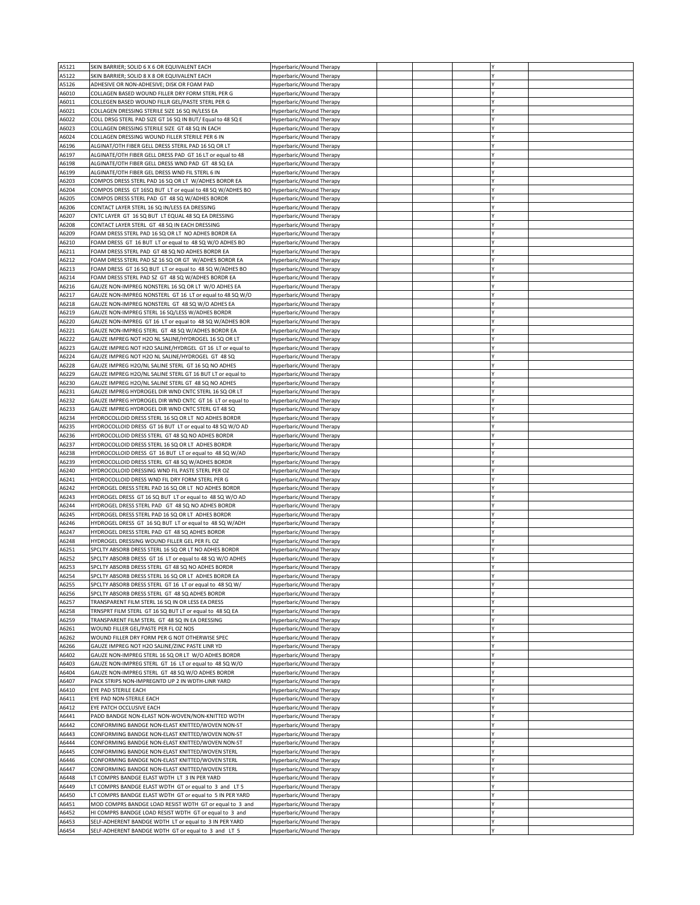| A5121 | SKIN BARRIER: SOLID 6 X 6 OR EQUIVALENT EACH               | Hyperbaric/Wound Therapy        |  |    |  |
|-------|------------------------------------------------------------|---------------------------------|--|----|--|
|       |                                                            |                                 |  |    |  |
| A5122 | SKIN BARRIER; SOLID 8 X 8 OR EQUIVALENT EACH               | Hyperbaric/Wound Therapy        |  |    |  |
| A5126 | ADHESIVE OR NON-ADHESIVE; DISK OR FOAM PAD                 | Hyperbaric/Wound Therapy        |  |    |  |
| A6010 | COLLAGEN BASED WOUND FILLER DRY FORM STERL PER G           | Hyperbaric/Wound Therapy        |  |    |  |
| A6011 | COLLEGEN BASED WOUND FILLR GEL/PASTE STERL PER G           | Hyperbaric/Wound Therapy        |  |    |  |
| A6021 | COLLAGEN DRESSING STERILE SIZE 16 SQ IN/LESS EA            | Hyperbaric/Wound Therapy        |  |    |  |
| A6022 | COLL DRSG STERL PAD SIZE GT 16 SQ IN BUT/ Equal to 48 SQ E | Hyperbaric/Wound Therapy        |  |    |  |
|       |                                                            |                                 |  |    |  |
| A6023 | COLLAGEN DRESSING STERILE SIZE GT 48 SQ IN EACH            | Hyperbaric/Wound Therapy        |  |    |  |
| A6024 | COLLAGEN DRESSING WOUND FILLER STERILE PER 6 IN            | Hyperbaric/Wound Therapy        |  |    |  |
| A6196 | ALGINAT/OTH FIBER GELL DRESS STERIL PAD 16 SQ OR LT        | Hyperbaric/Wound Therapy        |  |    |  |
| A6197 | ALGINATE/OTH FIBER GELL DRESS PAD GT 16 LT or equal to 48  | Hyperbaric/Wound Therapy        |  |    |  |
| A6198 | ALGINATE/OTH FIBER GELL DRESS WND PAD GT 48 SQ EA          | Hyperbaric/Wound Therapy        |  |    |  |
| A6199 | ALGINATE/OTH FIBER GEL DRESS WND FIL STERL 6 IN            | Hyperbaric/Wound Therapy        |  |    |  |
| A6203 | COMPOS DRESS STERL PAD 16 SQ OR LT W/ADHES BORDR EA        | Hyperbaric/Wound Therapy        |  |    |  |
|       |                                                            |                                 |  |    |  |
| A6204 | COMPOS DRESS GT 16SQ BUT LT or equal to 48 SQ W/ADHES BO   | Hyperbaric/Wound Therapy        |  |    |  |
| A6205 | COMPOS DRESS STERL PAD GT 48 SQ W/ADHES BORDR              | Hyperbaric/Wound Therapy        |  |    |  |
| A6206 | CONTACT LAYER STERL 16 SQ IN/LESS EA DRESSING              | Hyperbaric/Wound Therapy        |  |    |  |
| A6207 | CNTC LAYER GT 16 SQ BUT LT EQUAL 48 SQ EA DRESSING         | <b>Hyperbaric/Wound Therapy</b> |  |    |  |
| A6208 | CONTACT LAYER STERL GT 48 SQ IN EACH DRESSING              | Hyperbaric/Wound Therapy        |  |    |  |
| A6209 | FOAM DRESS STERL PAD 16 SQ OR LT NO ADHES BORDR EA         | Hyperbaric/Wound Therapy        |  |    |  |
| A6210 | FOAM DRESS GT 16 BUT LT or equal to 48 SQ W/O ADHES BO     | Hyperbaric/Wound Therapy        |  |    |  |
| A6211 | FOAM DRESS STERL PAD GT 48 SQ NO ADHES BORDR EA            | Hyperbaric/Wound Therapy        |  |    |  |
| A6212 | FOAM DRESS STERL PAD SZ 16 SQ OR GT W/ADHES BORDR EA       | Hyperbaric/Wound Therapy        |  |    |  |
|       |                                                            |                                 |  |    |  |
| A6213 | FOAM DRESS GT 16 SQ BUT LT or equal to 48 SQ W/ADHES BO    | Hyperbaric/Wound Therapy        |  |    |  |
| A6214 | FOAM DRESS STERL PAD SZ GT 48 SQ W/ADHES BORDR EA          | Hyperbaric/Wound Therapy        |  |    |  |
| A6216 | GAUZE NON-IMPREG NONSTERL 16 SQ OR LT W/O ADHES EA         | Hyperbaric/Wound Therapy        |  |    |  |
| A6217 | GAUZE NON-IMPREG NONSTERL GT 16 LT or equal to 48 SQ W/O   | Hyperbaric/Wound Therapy        |  |    |  |
| A6218 | GAUZE NON-IMPREG NONSTERL GT 48 SQ W/O ADHES EA            | Hyperbaric/Wound Therapy        |  |    |  |
| A6219 | GAUZE NON-IMPREG STERL 16 SQ/LESS W/ADHES BORDR            | Hyperbaric/Wound Therapy        |  |    |  |
| A6220 | GAUZE NON-IMPREG GT 16 LT or equal to 48 SQ W/ADHES BOR    | Hyperbaric/Wound Therapy        |  |    |  |
| A6221 | GAUZE NON-IMPREG STERL GT 48 SQ W/ADHES BORDR EA           | Hyperbaric/Wound Therapy        |  |    |  |
|       |                                                            |                                 |  |    |  |
| A6222 | GAUZE IMPREG NOT H2O NL SALINE/HYDROGEL 16 SQ OR LT        | Hyperbaric/Wound Therapy        |  | I۷ |  |
| A6223 | GAUZE IMPREG NOT H2O SALINE/HYDRGEL GT 16 LT or equal to   | Hyperbaric/Wound Therapy        |  |    |  |
| A6224 | GAUZE IMPREG NOT H2O NL SALINE/HYDROGEL GT 48 SQ           | Hyperbaric/Wound Therapy        |  |    |  |
| A6228 | GAUZE IMPREG H2O/NL SALINE STERL GT 16 SQ NO ADHES         | Hyperbaric/Wound Therapy        |  |    |  |
| A6229 | GAUZE IMPREG H2O/NL SALINE STERL GT 16 BUT LT or equal to  | Hyperbaric/Wound Therapy        |  |    |  |
| A6230 | GAUZE IMPREG H2O/NL SALINE STERL GT 48 SQ NO ADHES         | Hyperbaric/Wound Therapy        |  |    |  |
| A6231 | GAUZE IMPREG HYDROGEL DIR WND CNTC STERL 16 SQ OR LT       | Hyperbaric/Wound Therapy        |  |    |  |
| A6232 | GAUZE IMPREG HYDROGEL DIR WND CNTC GT 16 LT or equal to    | Hyperbaric/Wound Therapy        |  |    |  |
|       |                                                            |                                 |  |    |  |
| A6233 | GAUZE IMPREG HYDROGEL DIR WND CNTC STERL GT 48 SQ          | Hyperbaric/Wound Therapy        |  |    |  |
| A6234 | HYDROCOLLOID DRESS STERL 16 SQ OR LT NO ADHES BORDR        | Hyperbaric/Wound Therapy        |  |    |  |
| A6235 | HYDROCOLLOID DRESS GT 16 BUT LT or equal to 48 SQ W/O AD   | Hyperbaric/Wound Therapy        |  |    |  |
| A6236 | HYDROCOLLOID DRESS STERL GT 48 SQ NO ADHES BORDR           | Hyperbaric/Wound Therapy        |  |    |  |
| A6237 | HYDROCOLLOID DRESS STERL 16 SQ OR LT ADHES BORDR           | Hyperbaric/Wound Therapy        |  |    |  |
| A6238 | HYDROCOLLOID DRESS GT 16 BUT LT or equal to 48 SQ W/AD     | Hyperbaric/Wound Therapy        |  |    |  |
|       |                                                            |                                 |  |    |  |
|       |                                                            |                                 |  |    |  |
| A6239 | HYDROCOLLOID DRESS STERL GT 48 SQ W/ADHES BORDR            | Hyperbaric/Wound Therapy        |  |    |  |
| A6240 | HYDROCOLLOID DRESSING WND FIL PASTE STERL PER OZ           | Hyperbaric/Wound Therapy        |  |    |  |
| A6241 | HYDROCOLLOID DRESS WND FIL DRY FORM STERL PER G            | Hyperbaric/Wound Therapy        |  |    |  |
| A6242 | HYDROGEL DRESS STERL PAD 16 SQ OR LT NO ADHES BORDR        | Hyperbaric/Wound Therapy        |  |    |  |
| A6243 | HYDROGEL DRESS GT 16 SQ BUT LT or equal to 48 SQ W/O AD    | Hyperbaric/Wound Therapy        |  |    |  |
| A6244 | HYDROGEL DRESS STERL PAD GT 48 SQ NO ADHES BORDR           | Hyperbaric/Wound Therapy        |  |    |  |
| A6245 | HYDROGEL DRESS STERL PAD 16 SQ OR LT ADHES BORDR           | Hyperbaric/Wound Therapy        |  |    |  |
|       |                                                            |                                 |  |    |  |
| A6246 | HYDROGEL DRESS GT 16 SQ BUT LT or equal to 48 SQ W/ADH     | Hyperbaric/Wound Therapy        |  |    |  |
| A6247 | HYDROGEL DRESS STERL PAD GT 48 SQ ADHES BORDR              | Hyperbaric/Wound Therapy        |  |    |  |
| A6248 | HYDROGEL DRESSING WOUND FILLER GEL PER FL OZ               | Hyperbaric/Wound Therapy        |  |    |  |
| A6251 | SPCLTY ABSORB DRESS STERL 16 SQ OR LT NO ADHES BORDR       | Hyperbaric/Wound Therapy        |  |    |  |
| A6252 | SPCLTY ABSORB DRESS GT 16 LT or equal to 48 SQ W/O ADHES   | Hyperbaric/Wound Therapy        |  |    |  |
| A6253 | SPCLTY ABSORB DRESS STERL GT 48 SQ NO ADHES BORDR          | Hyperbaric/Wound Therapy        |  |    |  |
| A6254 | SPCLTY ABSORB DRESS STERL 16 SQ OR LT ADHES BORDR EA       | Hyperbaric/Wound Therapy        |  |    |  |
| A6255 | SPCLTY ABSORB DRESS STERL GT 16 LT or equal to 48 SQ W/    | Hyperbaric/Wound Therapy        |  |    |  |
| A6256 | SPCLTY ABSORB DRESS STERL GT 48 SQ ADHES BORDR             | Hyperbaric/Wound Therapy        |  |    |  |
| A6257 | TRANSPARENT FILM STERL 16 SQ IN OR LESS EA DRESS           | Hyperbaric/Wound Therapy        |  |    |  |
|       |                                                            |                                 |  |    |  |
| A6258 | TRNSPRT FILM STERL GT 16 SQ BUT LT or equal to 48 SQ EA    | Hyperbaric/Wound Therapy        |  |    |  |
| A6259 | TRANSPARENT FILM STERL GT 48 SQ IN EA DRESSING             | Hyperbaric/Wound Therapy        |  |    |  |
| A6261 | WOUND FILLER GEL/PASTE PER FL OZ NOS                       | Hyperbaric/Wound Therapy        |  |    |  |
| A6262 | WOUND FILLER DRY FORM PER G NOT OTHERWISE SPEC             | Hyperbaric/Wound Therapy        |  |    |  |
| A6266 | GAUZE IMPREG NOT H2O SALINE/ZINC PASTE LINR YD             | Hyperbaric/Wound Therapy        |  |    |  |
| A6402 | GAUZE NON-IMPREG STERL 16 SQ OR LT W/O ADHES BORDR         | Hyperbaric/Wound Therapy        |  |    |  |
| A6403 | GAUZE NON-IMPREG STERL GT 16 LT or equal to 48 SQ W/O      | Hyperbaric/Wound Therapy        |  |    |  |
| A6404 | GAUZE NON-IMPREG STERL GT 48 SQ W/O ADHES BORDR            | Hyperbaric/Wound Therapy        |  |    |  |
| A6407 | PACK STRIPS NON-IMPREGNTD UP 2 IN WDTH-LINR YARD           | Hyperbaric/Wound Therapy        |  |    |  |
| A6410 | EYE PAD STERILE EACH                                       |                                 |  |    |  |
|       |                                                            | Hyperbaric/Wound Therapy        |  |    |  |
| A6411 | EYE PAD NON-STERILE EACH                                   | Hyperbaric/Wound Therapy        |  |    |  |
| A6412 | EYE PATCH OCCLUSIVE EACH                                   | Hyperbaric/Wound Therapy        |  |    |  |
| A6441 | PADD BANDGE NON-ELAST NON-WOVEN/NON-KNITTED WDTH           | Hyperbaric/Wound Therapy        |  |    |  |
| A6442 | CONFORMING BANDGE NON-ELAST KNITTED/WOVEN NON-ST           | Hyperbaric/Wound Therapy        |  |    |  |
| A6443 | CONFORMING BANDGE NON-ELAST KNITTED/WOVEN NON-ST           | Hyperbaric/Wound Therapy        |  |    |  |
| A6444 | CONFORMING BANDGE NON-ELAST KNITTED/WOVEN NON-ST           | Hyperbaric/Wound Therapy        |  |    |  |
| A6445 | CONFORMING BANDGE NON-ELAST KNITTED/WOVEN STERL            | Hyperbaric/Wound Therapy        |  |    |  |
| A6446 | CONFORMING BANDGE NON-ELAST KNITTED/WOVEN STERL            |                                 |  |    |  |
|       |                                                            | Hyperbaric/Wound Therapy        |  |    |  |
| A6447 | CONFORMING BANDGE NON-ELAST KNITTED/WOVEN STERL            | Hyperbaric/Wound Therapy        |  |    |  |
| A6448 | LT COMPRS BANDGE ELAST WDTH LT 3 IN PER YARD               | Hyperbaric/Wound Therapy        |  |    |  |
| A6449 | LT COMPRS BANDGE ELAST WDTH GT or equal to 3 and LT 5      | Hyperbaric/Wound Therapy        |  |    |  |
| A6450 | LT COMPRS BANDGE ELAST WDTH GT or equal to 5 IN PER YARD   | Hyperbaric/Wound Therapy        |  |    |  |
| A6451 | MOD COMPRS BANDGE LOAD RESIST WDTH GT or equal to 3 and    | Hyperbaric/Wound Therapy        |  |    |  |
| A6452 | HI COMPRS BANDGE LOAD RESIST WDTH GT or equal to 3 and     | Hyperbaric/Wound Therapy        |  |    |  |
| A6453 | SELF-ADHERENT BANDGE WDTH LT or equal to 3 IN PER YARD     | Hyperbaric/Wound Therapy        |  |    |  |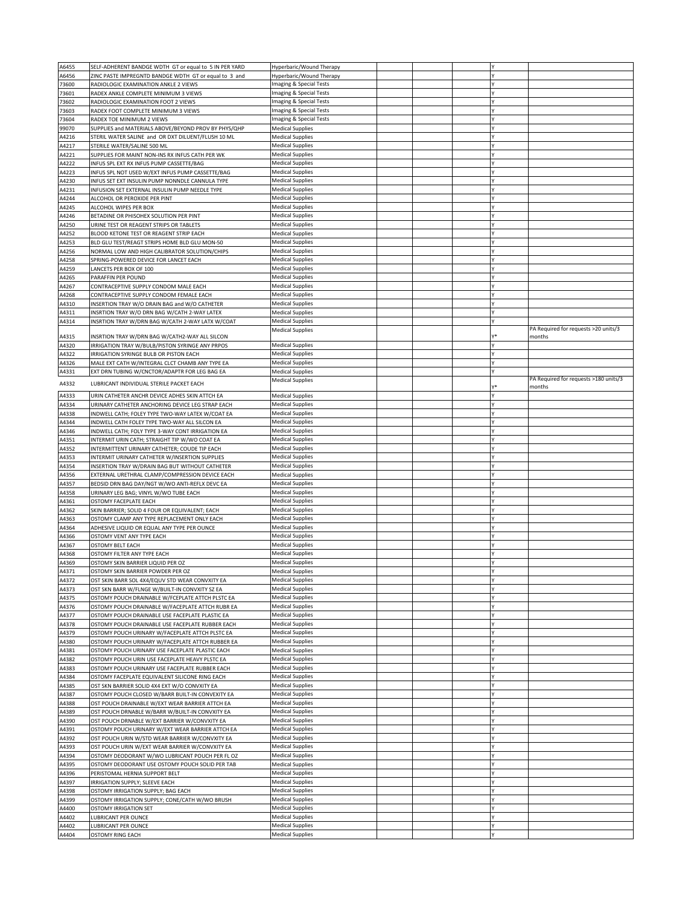| A6455          | SELF-ADHERENT BANDGE WDTH GT or equal to 5 IN PER YARD | Hyperbaric/Wound Therapy                    |  |    |                                       |
|----------------|--------------------------------------------------------|---------------------------------------------|--|----|---------------------------------------|
| A6456          | ZINC PASTE IMPREGNTD BANDGE WDTH GT or equal to 3 and  | Hyperbaric/Wound Therapy                    |  |    |                                       |
| 73600          | RADIOLOGIC EXAMINATION ANKLE 2 VIEWS                   | Imaging & Special Tests                     |  |    |                                       |
| 73601          | RADEX ANKLE COMPLETE MINIMUM 3 VIEWS                   | Imaging & Special Tests                     |  |    |                                       |
| 73602          | RADIOLOGIC EXAMINATION FOOT 2 VIEWS                    | Imaging & Special Tests                     |  |    |                                       |
| 73603          | RADEX FOOT COMPLETE MINIMUM 3 VIEWS                    | Imaging & Special Tests                     |  |    |                                       |
| 73604          | RADEX TOE MINIMUM 2 VIEWS                              | Imaging & Special Tests                     |  |    |                                       |
| 99070          | SUPPLIES and MATERIALS ABOVE/BEYOND PROV BY PHYS/QHP   | <b>Medical Supplies</b>                     |  |    |                                       |
|                |                                                        | <b>Medical Supplies</b>                     |  |    |                                       |
| A4216          | STERIL WATER SALINE and OR DXT DILUENT/FLUSH 10 ML     |                                             |  |    |                                       |
| A4217          | STERILE WATER/SALINE 500 ML                            | <b>Medical Supplies</b>                     |  |    |                                       |
| A4221          | SUPPLIES FOR MAINT NON-INS RX INFUS CATH PER WK        | <b>Medical Supplies</b>                     |  |    |                                       |
| A4222          | INFUS SPL EXT RX INFUS PUMP CASSETTE/BAG               | <b>Medical Supplies</b>                     |  |    |                                       |
| A4223          | INFUS SPL NOT USED W/EXT INFUS PUMP CASSETTE/BAG       | <b>Medical Supplies</b>                     |  |    |                                       |
| A4230          | INFUS SET EXT INSULIN PUMP NONNDLE CANNULA TYPE        | <b>Medical Supplies</b>                     |  |    |                                       |
| A4231          | INFUSION SET EXTERNAL INSULIN PUMP NEEDLE TYPE         | <b>Medical Supplies</b>                     |  |    |                                       |
| A4244          | ALCOHOL OR PEROXIDE PER PINT                           | Medical Supplies                            |  |    |                                       |
| A4245          | ALCOHOL WIPES PER BOX                                  | <b>Medical Supplies</b>                     |  |    |                                       |
| A4246          | BETADINE OR PHISOHEX SOLUTION PER PINT                 | Medical Supplies                            |  |    |                                       |
| A4250          | URINE TEST OR REAGENT STRIPS OR TABLETS                | Medical Supplies                            |  |    |                                       |
| A4252          | BLOOD KETONE TEST OR REAGENT STRIP EACH                | Medical Supplies                            |  |    |                                       |
| A4253          | BLD GLU TEST/REAGT STRIPS HOME BLD GLU MON-50          | <b>Medical Supplies</b>                     |  |    |                                       |
| A4256          | NORMAL LOW AND HIGH CALIBRATOR SOLUTION/CHIPS          | <b>Medical Supplies</b>                     |  |    |                                       |
| A4258          | SPRING-POWERED DEVICE FOR LANCET EACH                  | <b>Medical Supplies</b>                     |  |    |                                       |
|                |                                                        | <b>Medical Supplies</b>                     |  |    |                                       |
| A4259          | LANCETS PER BOX OF 100                                 |                                             |  |    |                                       |
| A4265          | PARAFFIN PER POUND                                     | <b>Medical Supplies</b>                     |  |    |                                       |
| A4267          | CONTRACEPTIVE SUPPLY CONDOM MALE EACH                  | Medical Supplies                            |  |    |                                       |
| A4268          | CONTRACEPTIVE SUPPLY CONDOM FEMALE EACH                | Medical Supplies                            |  |    |                                       |
| A4310          | INSERTION TRAY W/O DRAIN BAG and W/O CATHETER          | Medical Supplies                            |  |    |                                       |
| A4311          | INSRTION TRAY W/O DRN BAG W/CATH 2-WAY LATEX           | <b>Medical Supplies</b>                     |  | l۷ |                                       |
| A4314          | INSRTION TRAY W/DRN BAG W/CATH 2-WAY LATX W/COAT       | <b>Medical Supplies</b>                     |  |    |                                       |
|                |                                                        | <b>Medical Supplies</b>                     |  |    | PA Required for requests >20 units/3  |
| A4315          | INSRTION TRAY W/DRN BAG W/CATH2-WAY ALL SILCON         |                                             |  |    | months                                |
| A4320          | IRRIGATION TRAY W/BULB/PISTON SYRINGE ANY PRPOS        | Medical Supplies                            |  |    |                                       |
| A4322          | IRRIGATION SYRINGE BULB OR PISTON EACH                 | <b>Medical Supplies</b>                     |  |    |                                       |
| A4326          | MALE EXT CATH W/INTEGRAL CLCT CHAMB ANY TYPE EA        | Medical Supplies                            |  |    |                                       |
| A4331          | EXT DRN TUBING W/CNCTOR/ADAPTR FOR LEG BAG EA          | <b>Medical Supplies</b>                     |  |    |                                       |
|                |                                                        | <b>Medical Supplies</b>                     |  |    | PA Required for requests >180 units/3 |
| A4332          | LUBRICANT INDIVIDUAL STERILE PACKET EACH               |                                             |  |    | months                                |
| A4333          | URIN CATHETER ANCHR DEVICE ADHES SKIN ATTCH EA         | <b>Medical Supplies</b>                     |  |    |                                       |
| A4334          | URINARY CATHETER ANCHORING DEVICE LEG STRAP EACH       | Medical Supplies                            |  |    |                                       |
|                |                                                        |                                             |  |    |                                       |
| A4338          | INDWELL CATH; FOLEY TYPE TWO-WAY LATEX W/COAT EA       | <b>Medical Supplies</b>                     |  |    |                                       |
| A4344          | INDWELL CATH FOLEY TYPE TWO-WAY ALL SILCON EA          | <b>Medical Supplies</b>                     |  |    |                                       |
| A4346          | INDWELL CATH; FOLY TYPE 3-WAY CONT IRRIGATION EA       | <b>Medical Supplies</b>                     |  |    |                                       |
| A4351          | INTERMIT URIN CATH; STRAIGHT TIP W/WO COAT EA          | <b>Medical Supplies</b>                     |  |    |                                       |
| A4352          | INTERMITTENT URINARY CATHETER; COUDE TIP EACH          | <b>Medical Supplies</b>                     |  |    |                                       |
| A4353          | INTERMIT URINARY CATHETER W/INSERTION SUPPLIES         | <b>Medical Supplies</b>                     |  |    |                                       |
| A4354          | INSERTION TRAY W/DRAIN BAG BUT WITHOUT CATHETER        | Medical Supplies                            |  |    |                                       |
| A4356          | EXTERNAL URETHRAL CLAMP/COMPRESSION DEVICE EACH        | <b>Medical Supplies</b>                     |  |    |                                       |
| A4357          | BEDSID DRN BAG DAY/NGT W/WO ANTI-REFLX DEVC EA         | <b>Medical Supplies</b>                     |  |    |                                       |
| A4358          | URINARY LEG BAG; VINYL W/WO TUBE EACH                  | <b>Medical Supplies</b>                     |  |    |                                       |
|                |                                                        | <b>Medical Supplies</b>                     |  |    |                                       |
| A4361          | OSTOMY FACEPLATE EACH                                  |                                             |  |    |                                       |
| A4362          | SKIN BARRIER; SOLID 4 FOUR OR EQUIVALENT; EACH         | <b>Medical Supplies</b>                     |  |    |                                       |
| A4363          | OSTOMY CLAMP ANY TYPE REPLACEMENT ONLY EACH            | <b>Medical Supplies</b>                     |  |    |                                       |
| A4364          | ADHESIVE LIQUID OR EQUAL ANY TYPE PER OUNCE            | Medical Supplies                            |  |    |                                       |
| A4366          | OSTOMY VENT ANY TYPE EACH                              | <b>Medical Supplies</b>                     |  |    |                                       |
| A4367          | <b>OSTOMY BELT EACH</b>                                | <b>Medical Supplies</b>                     |  |    |                                       |
| A4368          | OSTOMY FILTER ANY TYPE EACH                            | Medical Supplies                            |  |    |                                       |
| A4369          | OSTOMY SKIN BARRIER LIQUID PER OZ                      | <b>Medical Supplies</b>                     |  |    |                                       |
| A4371          | OSTOMY SKIN BARRIER POWDER PER OZ                      | <b>Medical Supplies</b>                     |  |    |                                       |
| A4372          | OST SKIN BARR SOL 4X4/EQUV STD WEAR CONVXITY EA        | <b>Medical Supplies</b>                     |  | I۷ |                                       |
| A4373          | OST SKN BARR W/FLNGE W/BUILT-IN CONVXITY SZ EA         |                                             |  |    |                                       |
| A4375          |                                                        |                                             |  |    |                                       |
|                |                                                        | <b>Medical Supplies</b>                     |  |    |                                       |
| A4376          | OSTOMY POUCH DRAINABLE W/FCEPLATE ATTCH PLSTC EA       | <b>Medical Supplies</b>                     |  |    |                                       |
|                | OSTOMY POUCH DRAINABLE W/FACEPLATE ATTCH RUBR EA       | <b>Medical Supplies</b>                     |  |    |                                       |
| A4377          | OSTOMY POUCH DRAINABLE USE FACEPLATE PLASTIC EA        | Medical Supplies                            |  |    |                                       |
| A4378          | OSTOMY POUCH DRAINABLE USE FACEPLATE RUBBER EACH       | Medical Supplies                            |  |    |                                       |
| A4379          | OSTOMY POUCH URINARY W/FACEPLATE ATTCH PLSTC EA        | <b>Medical Supplies</b>                     |  |    |                                       |
| A4380          | OSTOMY POUCH URINARY W/FACEPLATE ATTCH RUBBER EA       | <b>Medical Supplies</b>                     |  |    |                                       |
| A4381          | OSTOMY POUCH URINARY USE FACEPLATE PLASTIC EACH        | <b>Medical Supplies</b>                     |  |    |                                       |
| A4382          | OSTOMY POUCH URIN USE FACEPLATE HEAVY PLSTC EA         | <b>Medical Supplies</b>                     |  |    |                                       |
| A4383          | OSTOMY POUCH URINARY USE FACEPLATE RUBBER EACH         | Medical Supplies                            |  |    |                                       |
| A4384          | OSTOMY FACEPLATE EQUIVALENT SILICONE RING EACH         | <b>Medical Supplies</b>                     |  |    |                                       |
|                | OST SKN BARRIER SOLID 4X4 EXT W/O CONVXITY EA          |                                             |  |    |                                       |
| A4385          |                                                        | Medical Supplies                            |  |    |                                       |
| A4387          | OSTOMY POUCH CLOSED W/BARR BUILT-IN CONVEXITY EA       | <b>Medical Supplies</b>                     |  |    |                                       |
| A4388          | OST POUCH DRAINABLE W/EXT WEAR BARRIER ATTCH EA        | <b>Medical Supplies</b>                     |  |    |                                       |
| A4389          | OST POUCH DRNABLE W/BARR W/BUILT-IN CONVXITY EA        | <b>Medical Supplies</b>                     |  |    |                                       |
| A4390          | OST POUCH DRNABLE W/EXT BARRIER W/CONVXITY EA          | <b>Medical Supplies</b>                     |  |    |                                       |
| A4391          | OSTOMY POUCH URINARY W/EXT WEAR BARRIER ATTCH EA       | <b>Medical Supplies</b>                     |  |    |                                       |
| A4392          | OST POUCH URIN W/STD WEAR BARRIER W/CONVXITY EA        | <b>Medical Supplies</b>                     |  |    |                                       |
| A4393          | OST POUCH URIN W/EXT WEAR BARRIER W/CONVXITY EA        | Medical Supplies                            |  |    |                                       |
| A4394          | OSTOMY DEODORANT W/WO LUBRICANT POUCH PER FL OZ        | Medical Supplies                            |  |    |                                       |
| A4395          | OSTOMY DEODORANT USE OSTOMY POUCH SOLID PER TAB        | Medical Supplies                            |  |    |                                       |
| A4396          | PERISTOMAL HERNIA SUPPORT BELT                         | <b>Medical Supplies</b>                     |  |    |                                       |
| A4397          | IRRIGATION SUPPLY; SLEEVE EACH                         | <b>Medical Supplies</b>                     |  |    |                                       |
|                |                                                        |                                             |  |    |                                       |
| A4398          | OSTOMY IRRIGATION SUPPLY; BAG EACH                     | <b>Medical Supplies</b>                     |  |    |                                       |
| A4399          | OSTOMY IRRIGATION SUPPLY; CONE/CATH W/WO BRUSH         | <b>Medical Supplies</b>                     |  |    |                                       |
| A4400          | <b>OSTOMY IRRIGATION SET</b>                           | Medical Supplies                            |  |    |                                       |
| A4402          | <b>LUBRICANT PER OUNCE</b>                             | <b>Medical Supplies</b>                     |  |    |                                       |
| A4402<br>A4404 | LUBRICANT PER OUNCE<br><b>OSTOMY RING EACH</b>         | Medical Supplies<br><b>Medical Supplies</b> |  |    |                                       |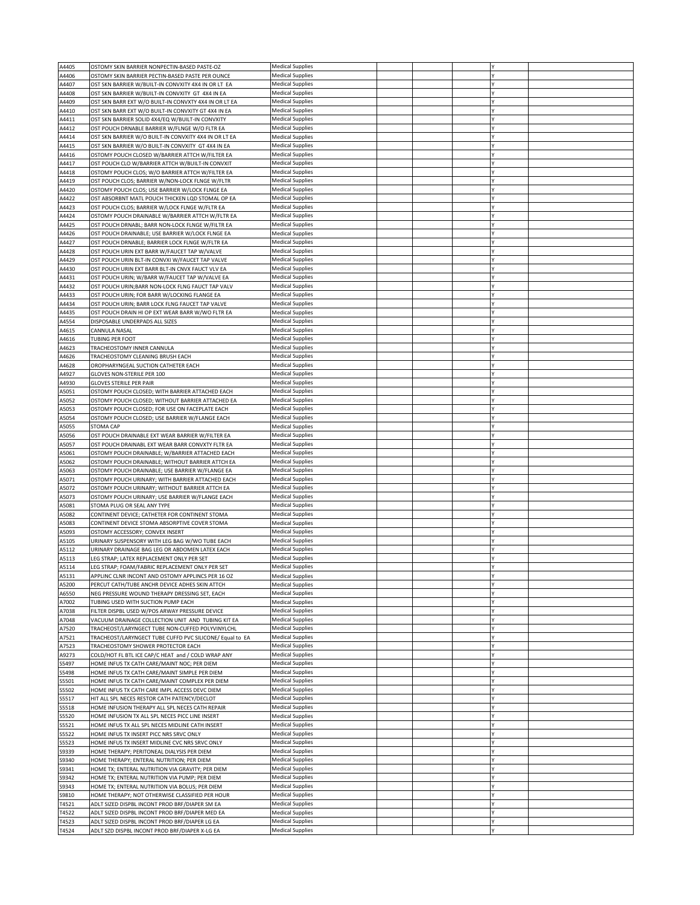| A4405          | OSTOMY SKIN BARRIER NONPECTIN-BASED PASTE-OZ                                                     | <b>Medical Supplies</b>                            |  |  |  |
|----------------|--------------------------------------------------------------------------------------------------|----------------------------------------------------|--|--|--|
| A4406          | OSTOMY SKIN BARRIER PECTIN-BASED PASTE PER OUNCE                                                 | <b>Medical Supplies</b>                            |  |  |  |
| A4407          | OST SKN BARRIER W/BUILT-IN CONVXITY 4X4 IN OR LT EA                                              | <b>Medical Supplies</b>                            |  |  |  |
| A4408          | OST SKN BARRIER W/BUILT-IN CONVXITY GT 4X4 IN EA                                                 | <b>Medical Supplies</b>                            |  |  |  |
| A4409          | OST SKN BARR EXT W/O BUILT-IN CONVXTY 4X4 IN OR LT EA                                            | <b>Medical Supplies</b>                            |  |  |  |
| A4410          | OST SKN BARR EXT W/O BUILT-IN CONVXITY GT 4X4 IN EA                                              | <b>Medical Supplies</b>                            |  |  |  |
|                |                                                                                                  |                                                    |  |  |  |
| A4411          | OST SKN BARRIER SOLID 4X4/EQ W/BUILT-IN CONVXITY                                                 | <b>Medical Supplies</b>                            |  |  |  |
| A4412          | OST POUCH DRNABLE BARRIER W/FLNGE W/O FLTR EA                                                    | <b>Medical Supplies</b>                            |  |  |  |
| A4414          | OST SKN BARRIER W/O BUILT-IN CONVXITY 4X4 IN OR LT EA                                            | <b>Medical Supplies</b>                            |  |  |  |
| A4415          | OST SKN BARRIER W/O BUILT-IN CONVXITY GT 4X4 IN EA                                               | <b>Medical Supplies</b>                            |  |  |  |
| A4416          | OSTOMY POUCH CLOSED W/BARRIER ATTCH W/FILTER EA                                                  | <b>Medical Supplies</b>                            |  |  |  |
| A4417          | OST POUCH CLO W/BARRIER ATTCH W/BUILT-IN CONVXIT                                                 | <b>Medical Supplies</b>                            |  |  |  |
| A4418          | OSTOMY POUCH CLOS; W/O BARRIER ATTCH W/FILTER EA                                                 | <b>Medical Supplies</b>                            |  |  |  |
| A4419          | OST POUCH CLOS; BARRIER W/NON-LOCK FLNGE W/FLTR                                                  | <b>Medical Supplies</b>                            |  |  |  |
| A4420          |                                                                                                  | <b>Medical Supplies</b>                            |  |  |  |
|                | OSTOMY POUCH CLOS; USE BARRIER W/LOCK FLNGE EA                                                   |                                                    |  |  |  |
| A4422          | OST ABSORBNT MATL POUCH THICKEN LQD STOMAL OP EA                                                 | <b>Medical Supplies</b>                            |  |  |  |
| A4423          | OST POUCH CLOS; BARRIER W/LOCK FLNGE W/FLTR EA                                                   | <b>Medical Supplies</b>                            |  |  |  |
| A4424          | OSTOMY POUCH DRAINABLE W/BARRIER ATTCH W/FLTR EA                                                 | <b>Medical Supplies</b>                            |  |  |  |
| A4425          | OST POUCH DRNABL; BARR NON-LOCK FLNGE W/FILTR EA                                                 | <b>Medical Supplies</b>                            |  |  |  |
| A4426          | OST POUCH DRAINABLE; USE BARRIER W/LOCK FLNGE EA                                                 | <b>Medical Supplies</b>                            |  |  |  |
| A4427          | OST POUCH DRNABLE; BARRIER LOCK FLNGE W/FLTR EA                                                  | <b>Medical Supplies</b>                            |  |  |  |
| A4428          | OST POUCH URIN EXT BARR W/FAUCET TAP W/VALVE                                                     | <b>Medical Supplies</b>                            |  |  |  |
| A4429          | OST POUCH URIN BLT-IN CONVXI W/FAUCET TAP VALVE                                                  | <b>Medical Supplies</b>                            |  |  |  |
| A4430          | OST POUCH URIN EXT BARR BLT-IN CNVX FAUCT VLV EA                                                 | <b>Medical Supplies</b>                            |  |  |  |
|                |                                                                                                  |                                                    |  |  |  |
| A4431          | OST POUCH URIN; W/BARR W/FAUCET TAP W/VALVE EA                                                   | <b>Medical Supplies</b>                            |  |  |  |
| A4432          | OST POUCH URIN; BARR NON-LOCK FLNG FAUCT TAP VALV                                                | <b>Medical Supplies</b>                            |  |  |  |
| A4433          | OST POUCH URIN; FOR BARR W/LOCKING FLANGE EA                                                     | <b>Medical Supplies</b>                            |  |  |  |
| A4434          | OST POUCH URIN; BARR LOCK FLNG FAUCET TAP VALVE                                                  | <b>Medical Supplies</b>                            |  |  |  |
| A4435          | OST POUCH DRAIN HI OP EXT WEAR BARR W/WO FLTR EA                                                 | <b>Medical Supplies</b>                            |  |  |  |
| A4554          | DISPOSABLE UNDERPADS ALL SIZES                                                                   | <b>Medical Supplies</b>                            |  |  |  |
| A4615          | CANNULA NASAL                                                                                    | <b>Medical Supplies</b>                            |  |  |  |
| A4616          | TUBING PER FOOT                                                                                  | <b>Medical Supplies</b>                            |  |  |  |
| A4623          | TRACHEOSTOMY INNER CANNULA                                                                       | <b>Medical Supplies</b>                            |  |  |  |
|                |                                                                                                  | <b>Medical Supplies</b>                            |  |  |  |
| A4626          | TRACHEOSTOMY CLEANING BRUSH EACH                                                                 |                                                    |  |  |  |
| A4628          | OROPHARYNGEAL SUCTION CATHETER EACH                                                              | <b>Medical Supplies</b>                            |  |  |  |
| A4927          | GLOVES NON-STERILE PER 100                                                                       | <b>Medical Supplies</b>                            |  |  |  |
| A4930          | GLOVES STERILE PER PAIR                                                                          | <b>Medical Supplies</b>                            |  |  |  |
| A5051          | OSTOMY POUCH CLOSED; WITH BARRIER ATTACHED EACH                                                  | <b>Medical Supplies</b>                            |  |  |  |
| A5052          | OSTOMY POUCH CLOSED; WITHOUT BARRIER ATTACHED EA                                                 | <b>Medical Supplies</b>                            |  |  |  |
| A5053          | OSTOMY POUCH CLOSED; FOR USE ON FACEPLATE EACH                                                   | <b>Medical Supplies</b>                            |  |  |  |
| A5054          | OSTOMY POUCH CLOSED; USE BARRIER W/FLANGE EACH                                                   | <b>Medical Supplies</b>                            |  |  |  |
| A5055          | STOMA CAP                                                                                        | <b>Medical Supplies</b>                            |  |  |  |
| A5056          | OST POUCH DRAINABLE EXT WEAR BARRIER W/FILTER EA                                                 | <b>Medical Supplies</b>                            |  |  |  |
|                |                                                                                                  |                                                    |  |  |  |
| A5057          | OST POUCH DRAINABL EXT WEAR BARR CONVXTY FLTR EA                                                 | <b>Medical Supplies</b>                            |  |  |  |
| A5061          | OSTOMY POUCH DRAINABLE; W/BARRIER ATTACHED EACH                                                  | <b>Medical Supplies</b>                            |  |  |  |
| A5062          | OSTOMY POUCH DRAINABLE; WITHOUT BARRIER ATTCH EA                                                 | <b>Medical Supplies</b>                            |  |  |  |
| A5063          | OSTOMY POUCH DRAINABLE; USE BARRIER W/FLANGE EA                                                  | <b>Medical Supplies</b>                            |  |  |  |
| A5071          | OSTOMY POUCH URINARY; WITH BARRIER ATTACHED EACH                                                 | <b>Medical Supplies</b>                            |  |  |  |
| A5072          | OSTOMY POUCH URINARY; WITHOUT BARRIER ATTCH EA                                                   | <b>Medical Supplies</b>                            |  |  |  |
| A5073          | OSTOMY POUCH URINARY; USE BARRIER W/FLANGE EACH                                                  | <b>Medical Supplies</b>                            |  |  |  |
| A5081          | STOMA PLUG OR SEAL ANY TYPE                                                                      | Medical Supplies                                   |  |  |  |
| A5082          | CONTINENT DEVICE; CATHETER FOR CONTINENT STOMA                                                   | <b>Medical Supplies</b>                            |  |  |  |
|                |                                                                                                  |                                                    |  |  |  |
| A5083          | CONTINENT DEVICE STOMA ABSORPTIVE COVER STOMA                                                    | <b>Medical Supplies</b>                            |  |  |  |
| A5093          | OSTOMY ACCESSORY; CONVEX INSERT                                                                  | <b>Medical Supplies</b>                            |  |  |  |
| A5105          |                                                                                                  | <b>Medical Supplies</b>                            |  |  |  |
|                | URINARY SUSPENSORY WITH LEG BAG W/WO TUBE EACH                                                   |                                                    |  |  |  |
| A5112          | URINARY DRAINAGE BAG LEG OR ABDOMEN LATEX EACH                                                   | <b>Medical Supplies</b>                            |  |  |  |
| A5113          | LEG STRAP; LATEX REPLACEMENT ONLY PER SET                                                        | <b>Medical Supplies</b>                            |  |  |  |
| A5114          | LEG STRAP; FOAM/FABRIC REPLACEMENT ONLY PER SET                                                  | <b>Medical Supplies</b>                            |  |  |  |
|                |                                                                                                  |                                                    |  |  |  |
| A5131          | APPLINC CLNR INCONT AND OSTOMY APPLINCS PER 16 OZ                                                | <b>Medical Supplies</b>                            |  |  |  |
| A5200          | PERCUT CATH/TUBE ANCHR DEVICE ADHES SKIN ATTCH                                                   | <b>Medical Supplies</b><br><b>Medical Supplies</b> |  |  |  |
| A6550          | NEG PRESSURE WOUND THERAPY DRESSING SET, EACH                                                    |                                                    |  |  |  |
| A7002          | TUBING USED WITH SUCTION PUMP EACH                                                               | <b>Medical Supplies</b>                            |  |  |  |
| A7038          | FILTER DISPBL USED W/POS ARWAY PRESSURE DEVICE                                                   | <b>Medical Supplies</b>                            |  |  |  |
| A7048          | VACUUM DRAINAGE COLLECTION UNIT AND TUBING KIT EA                                                | <b>Medical Supplies</b>                            |  |  |  |
| A7520          | TRACHEOST/LARYNGECT TUBE NON-CUFFED POLYVINYLCHL                                                 | <b>Medical Supplies</b>                            |  |  |  |
| A7521          | TRACHEOST/LARYNGECT TUBE CUFFD PVC SILICONE/ Equal to EA                                         | <b>Medical Supplies</b>                            |  |  |  |
| A7523          | TRACHEOSTOMY SHOWER PROTECTOR EACH                                                               | <b>Medical Supplies</b>                            |  |  |  |
| A9273          | COLD/HOT FL BTL ICE CAP/C HEAT and / COLD WRAP ANY                                               | <b>Medical Supplies</b>                            |  |  |  |
| S5497          | HOME INFUS TX CATH CARE/MAINT NOC; PER DIEM                                                      | <b>Medical Supplies</b>                            |  |  |  |
| 55498          | HOME INFUS TX CATH CARE/MAINT SIMPLE PER DIEM                                                    | <b>Medical Supplies</b>                            |  |  |  |
| 55501          | HOME INFUS TX CATH CARE/MAINT COMPLEX PER DIEM                                                   | <b>Medical Supplies</b>                            |  |  |  |
|                |                                                                                                  |                                                    |  |  |  |
| 55502          | HOME INFUS TX CATH CARE IMPL ACCESS DEVC DIEM                                                    | <b>Medical Supplies</b>                            |  |  |  |
| S5517          | HIT ALL SPL NECES RESTOR CATH PATENCY/DECLOT                                                     | <b>Medical Supplies</b>                            |  |  |  |
| S5518          | HOME INFUSION THERAPY ALL SPL NECES CATH REPAIR                                                  | <b>Medical Supplies</b>                            |  |  |  |
| 55520          | HOME INFUSION TX ALL SPL NECES PICC LINE INSERT                                                  | <b>Medical Supplies</b>                            |  |  |  |
| S5521          | HOME INFUS TX ALL SPL NECES MIDLINE CATH INSERT                                                  | <b>Medical Supplies</b>                            |  |  |  |
| S5522          | HOME INFUS TX INSERT PICC NRS SRVC ONLY                                                          | <b>Medical Supplies</b>                            |  |  |  |
| S5523          | HOME INFUS TX INSERT MIDLINE CVC NRS SRVC ONLY                                                   | <b>Medical Supplies</b>                            |  |  |  |
| 59339          | HOME THERAPY; PERITONEAL DIALYSIS PER DIEM                                                       | <b>Medical Supplies</b>                            |  |  |  |
| S9340          | HOME THERAPY; ENTERAL NUTRITION; PER DIEM                                                        | <b>Medical Supplies</b>                            |  |  |  |
| \$9341         | HOME TX; ENTERAL NUTRITION VIA GRAVITY; PER DIEM                                                 | <b>Medical Supplies</b>                            |  |  |  |
|                |                                                                                                  | <b>Medical Supplies</b>                            |  |  |  |
| S9342          | HOME TX; ENTERAL NUTRITION VIA PUMP; PER DIEM                                                    |                                                    |  |  |  |
| 59343          | HOME TX; ENTERAL NUTRITION VIA BOLUS; PER DIEM                                                   | <b>Medical Supplies</b>                            |  |  |  |
| 59810          | HOME THERAPY; NOT OTHERWISE CLASSIFIED PER HOUR                                                  | <b>Medical Supplies</b>                            |  |  |  |
| T4521          | ADLT SIZED DISPBL INCONT PROD BRF/DIAPER SM EA                                                   | <b>Medical Supplies</b>                            |  |  |  |
| T4522          | ADLT SIZED DISPBL INCONT PROD BRF/DIAPER MED EA                                                  | <b>Medical Supplies</b>                            |  |  |  |
| T4523<br>T4524 | ADLT SIZED DISPBL INCONT PROD BRF/DIAPER LG EA<br>ADLT SZD DISPBL INCONT PROD BRF/DIAPER X-LG EA | <b>Medical Supplies</b><br><b>Medical Supplies</b> |  |  |  |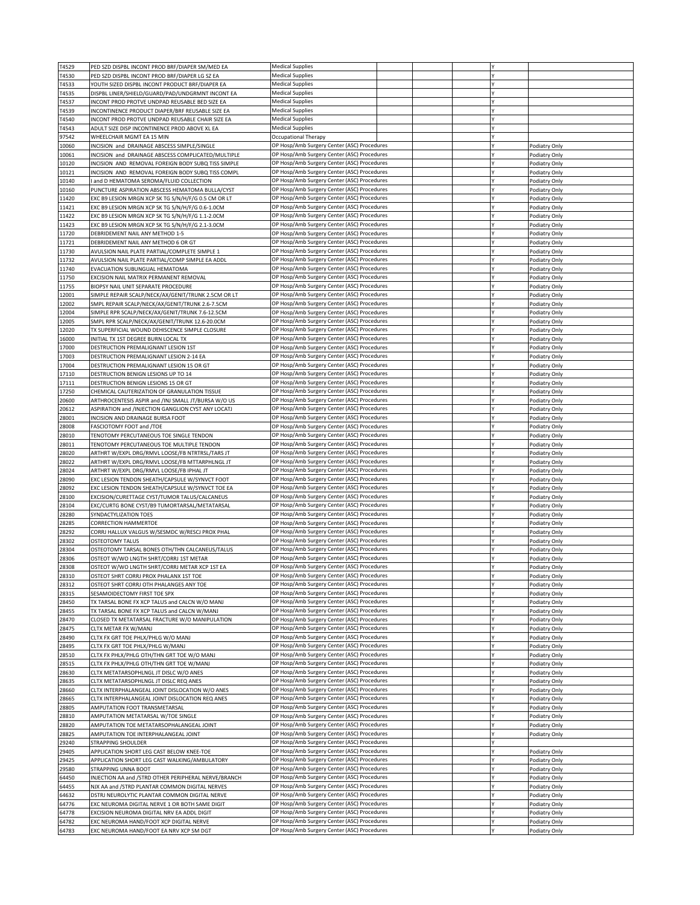| T4529          | PED SZD DISPBL INCONT PROD BRF/DIAPER SM/MED EA            | <b>Medical Supplies</b>                     |  |  |               |
|----------------|------------------------------------------------------------|---------------------------------------------|--|--|---------------|
| T4530          | PED SZD DISPBL INCONT PROD BRF/DIAPER LG SZ EA             | <b>Medical Supplies</b>                     |  |  |               |
| T4533          | YOUTH SIZED DISPBL INCONT PRODUCT BRF/DIAPER EA            | <b>Medical Supplies</b>                     |  |  |               |
| T4535          | DISPBL LINER/SHIELD/GUARD/PAD/UNDGRMNT INCONT EA           | <b>Medical Supplies</b>                     |  |  |               |
| T4537          | INCONT PROD PROTVE UNDPAD REUSABLE BED SIZE EA             | <b>Medical Supplies</b>                     |  |  |               |
| T4539          | INCONTINENCE PRODUCT DIAPER/BRF REUSABLE SIZE EA           | <b>Medical Supplies</b>                     |  |  |               |
| T4540          | INCONT PROD PROTVE UNDPAD REUSABLE CHAIR SIZE EA           | <b>Medical Supplies</b>                     |  |  |               |
| T4543          | ADULT SIZE DISP INCONTINENCE PROD ABOVE XL EA              | <b>Medical Supplies</b>                     |  |  |               |
| 97542          | WHEELCHAIR MGMT EA 15 MIN                                  | Occupational Therapy                        |  |  |               |
| 10060          |                                                            | OP Hosp/Amb Surgery Center (ASC) Procedures |  |  |               |
|                | INCISION and DRAINAGE ABSCESS SIMPLE/SINGLE                |                                             |  |  | Podiatry Only |
| 10061          | INCISION and DRAINAGE ABSCESS COMPLICATED/MULTIPLE         | OP Hosp/Amb Surgery Center (ASC) Procedures |  |  | Podiatry Only |
| 10120          | INCISION AND REMOVAL FOREIGN BODY SUBQ TISS SIMPLE         | OP Hosp/Amb Surgery Center (ASC) Procedures |  |  | Podiatry Only |
| 10121          | INCISION AND REMOVAL FOREIGN BODY SUBQ TISS COMPL          | OP Hosp/Amb Surgery Center (ASC) Procedures |  |  | Podiatry Only |
| 10140          | and D HEMATOMA SEROMA/FLUID COLLECTION                     | OP Hosp/Amb Surgery Center (ASC) Procedures |  |  | Podiatry Only |
| 10160          | PUNCTURE ASPIRATION ABSCESS HEMATOMA BULLA/CYST            | OP Hosp/Amb Surgery Center (ASC) Procedures |  |  | Podiatry Only |
| 11420          | EXC B9 LESION MRGN XCP SK TG S/N/H/F/G 0.5 CM OR LT        | OP Hosp/Amb Surgery Center (ASC) Procedures |  |  | Podiatry Only |
| 11421          | EXC B9 LESION MRGN XCP SK TG S/N/H/F/G 0.6-1.0CM           | OP Hosp/Amb Surgery Center (ASC) Procedures |  |  | Podiatry Only |
| 11422          | EXC B9 LESION MRGN XCP SK TG S/N/H/F/G 1.1-2.0CM           | OP Hosp/Amb Surgery Center (ASC) Procedures |  |  | Podiatry Only |
| 11423          | EXC B9 LESION MRGN XCP SK TG S/N/H/F/G 2.1-3.0CM           | OP Hosp/Amb Surgery Center (ASC) Procedures |  |  | Podiatry Only |
| 11720          | DEBRIDEMENT NAIL ANY METHOD 1-5                            | OP Hosp/Amb Surgery Center (ASC) Procedures |  |  | Podiatry Only |
| 11721          | DEBRIDEMENT NAIL ANY METHOD 6 OR GT                        | OP Hosp/Amb Surgery Center (ASC) Procedures |  |  | Podiatry Only |
| 11730          | AVULSION NAIL PLATE PARTIAL/COMPLETE SIMPLE 1              | OP Hosp/Amb Surgery Center (ASC) Procedures |  |  | Podiatry Only |
| 11732          | AVULSION NAIL PLATE PARTIAL/COMP SIMPLE EA ADDL            | OP Hosp/Amb Surgery Center (ASC) Procedures |  |  | Podiatry Only |
| 11740          | EVACUATION SUBUNGUAL HEMATOMA                              | OP Hosp/Amb Surgery Center (ASC) Procedures |  |  | Podiatry Only |
| 11750          |                                                            | OP Hosp/Amb Surgery Center (ASC) Procedures |  |  |               |
|                | EXCISION NAIL MATRIX PERMANENT REMOVAL                     | OP Hosp/Amb Surgery Center (ASC) Procedures |  |  | Podiatry Only |
| 11755          | BIOPSY NAIL UNIT SEPARATE PROCEDURE                        |                                             |  |  | Podiatry Only |
| 12001          | SIMPLE REPAIR SCALP/NECK/AX/GENIT/TRUNK 2.5CM OR LT        | OP Hosp/Amb Surgery Center (ASC) Procedures |  |  | Podiatry Only |
| 12002          | SMPL REPAIR SCALP/NECK/AX/GENIT/TRUNK 2.6-7.5CM            | OP Hosp/Amb Surgery Center (ASC) Procedures |  |  | Podiatry Only |
| 12004          | SIMPLE RPR SCALP/NECK/AX/GENIT/TRUNK 7.6-12.5CM            | OP Hosp/Amb Surgery Center (ASC) Procedures |  |  | Podiatry Only |
| 12005          | SMPL RPR SCALP/NECK/AX/GENIT/TRUNK 12.6-20.0CM             | OP Hosp/Amb Surgery Center (ASC) Procedures |  |  | Podiatry Only |
| 12020          | TX SUPERFICIAL WOUND DEHISCENCE SIMPLE CLOSURE             | OP Hosp/Amb Surgery Center (ASC) Procedures |  |  | Podiatry Only |
| 16000          | INITIAL TX 1ST DEGREE BURN LOCAL TX                        | OP Hosp/Amb Surgery Center (ASC) Procedures |  |  | Podiatry Only |
| 17000          | DESTRUCTION PREMALIGNANT LESION 1ST                        | OP Hosp/Amb Surgery Center (ASC) Procedures |  |  | Podiatry Only |
| 17003          | DESTRUCTION PREMALIGNANT LESION 2-14 EA                    | OP Hosp/Amb Surgery Center (ASC) Procedures |  |  | Podiatry Only |
| 17004          | DESTRUCTION PREMALIGNANT LESION 15 OR GT                   | OP Hosp/Amb Surgery Center (ASC) Procedures |  |  | Podiatry Only |
| 17110          | DESTRUCTION BENIGN LESIONS UP TO 14                        | OP Hosp/Amb Surgery Center (ASC) Procedures |  |  | Podiatry Only |
| 17111          | DESTRUCTION BENIGN LESIONS 15 OR GT                        | OP Hosp/Amb Surgery Center (ASC) Procedures |  |  | Podiatry Only |
| 17250          | CHEMICAL CAUTERIZATION OF GRANULATION TISSUE               | OP Hosp/Amb Surgery Center (ASC) Procedures |  |  | Podiatry Only |
| 20600          | ARTHROCENTESIS ASPIR and /INJ SMALL JT/BURSA W/O US        | OP Hosp/Amb Surgery Center (ASC) Procedures |  |  | Podiatry Only |
| 20612          | ASPIRATION and /INJECTION GANGLION CYST ANY LOCATJ         | OP Hosp/Amb Surgery Center (ASC) Procedures |  |  | Podiatry Only |
| 28001          | INCISION AND DRAINAGE BURSA FOOT                           | OP Hosp/Amb Surgery Center (ASC) Procedures |  |  | Podiatry Only |
| 28008          | FASCIOTOMY FOOT and /TOE                                   | OP Hosp/Amb Surgery Center (ASC) Procedures |  |  | Podiatry Only |
| 28010          | TENOTOMY PERCUTANEOUS TOE SINGLE TENDON                    | OP Hosp/Amb Surgery Center (ASC) Procedures |  |  | Podiatry Only |
| 28011          | TENOTOMY PERCUTANEOUS TOE MULTIPLE TENDON                  | OP Hosp/Amb Surgery Center (ASC) Procedures |  |  | Podiatry Only |
| 28020          | ARTHRT W/EXPL DRG/RMVL LOOSE/FB NTRTRSL/TARS JT            | OP Hosp/Amb Surgery Center (ASC) Procedures |  |  | Podiatry Only |
| 28022          | ARTHRT W/EXPL DRG/RMVL LOOSE/FB MTTARPHLNGL JT             | OP Hosp/Amb Surgery Center (ASC) Procedures |  |  | Podiatry Only |
|                |                                                            |                                             |  |  |               |
| 28024          | ARTHRT W/EXPL DRG/RMVL LOOSE/FB IPHAL JT                   | OP Hosp/Amb Surgery Center (ASC) Procedures |  |  | Podiatry Only |
| 28090          | EXC LESION TENDON SHEATH/CAPSULE W/SYNVCT FOOT             | OP Hosp/Amb Surgery Center (ASC) Procedures |  |  | Podiatry Only |
| 28092          | EXC LESION TENDON SHEATH/CAPSULE W/SYNVCT TOE EA           | OP Hosp/Amb Surgery Center (ASC) Procedures |  |  | Podiatry Only |
| 28100          | EXCISION/CURETTAGE CYST/TUMOR TALUS/CALCANEUS              | OP Hosp/Amb Surgery Center (ASC) Procedures |  |  | Podiatry Only |
| 28104          | EXC/CURTG BONE CYST/B9 TUMORTARSAL/METATARSAL              | OP Hosp/Amb Surgery Center (ASC) Procedures |  |  | Podiatry Only |
| 28280          | SYNDACTYLIZATION TOES                                      | OP Hosp/Amb Surgery Center (ASC) Procedures |  |  | Podiatry Only |
| 28285          | <b>CORRECTION HAMMERTOE</b>                                | OP Hosp/Amb Surgery Center (ASC) Procedures |  |  | Podiatry Only |
| 28292          | CORRJ HALLUX VALGUS W/SESMDC W/RESCJ PROX PHAL             | OP Hosp/Amb Surgery Center (ASC) Procedures |  |  | Podiatry Only |
| 28302          | <b>OSTEOTOMY TALUS</b>                                     | OP Hosp/Amb Surgery Center (ASC) Procedures |  |  | Podiatry Only |
| 28304          | OSTEOTOMY TARSAL BONES OTH/THN CALCANEUS/TALUS             | OP Hosp/Amb Surgery Center (ASC) Procedures |  |  | Podiatry Only |
| 28306          | OSTEOT W/WO LNGTH SHRT/CORRJ 1ST METAR                     | OP Hosp/Amb Surgery Center (ASC) Procedures |  |  | Podiatry Only |
| 28308          | OSTEOT W/WO LNGTH SHRT/CORRJ METAR XCP 1ST EA              | OP Hosp/Amb Surgery Center (ASC) Procedures |  |  | Podiatry Only |
| 28310          | OSTEOT SHRT CORRJ PROX PHALANX 1ST TOE                     | DP Hosp/Amb Surgery Center (ASC) Procedures |  |  | Podiatry Only |
| 28312          | OSTEOT SHRT CORRJ OTH PHALANGES ANY TOE                    | OP Hosp/Amb Surgery Center (ASC) Procedures |  |  | Podiatry Only |
| 28315          | SESAMOIDECTOMY FIRST TOE SPX                               | OP Hosp/Amb Surgery Center (ASC) Procedures |  |  | Podiatry Only |
| 28450          | TX TARSAL BONE FX XCP TALUS and CALCN W/O MANJ             | OP Hosp/Amb Surgery Center (ASC) Procedures |  |  | Podiatry Only |
| 28455          | TX TARSAL BONE FX XCP TALUS and CALCN W/MANJ               | OP Hosp/Amb Surgery Center (ASC) Procedures |  |  | Podiatry Only |
| 28470          | CLOSED TX METATARSAL FRACTURE W/O MANIPULATION             | OP Hosp/Amb Surgery Center (ASC) Procedures |  |  | Podiatry Only |
|                |                                                            | OP Hosp/Amb Surgery Center (ASC) Procedures |  |  |               |
| 28475<br>28490 | CLTX METAR FX W/MANJ<br>CLTX FX GRT TOE PHLX/PHLG W/O MANJ | OP Hosp/Amb Surgery Center (ASC) Procedures |  |  | Podiatry Only |
|                |                                                            |                                             |  |  | Podiatry Only |
| 28495          | CLTX FX GRT TOE PHLX/PHLG W/MANJ                           | OP Hosp/Amb Surgery Center (ASC) Procedures |  |  | Podiatry Only |
| 28510          | CLTX FX PHLX/PHLG OTH/THN GRT TOE W/O MANJ                 | OP Hosp/Amb Surgery Center (ASC) Procedures |  |  | Podiatry Only |
| 28515          | CLTX FX PHLX/PHLG OTH/THN GRT TOE W/MANJ                   | OP Hosp/Amb Surgery Center (ASC) Procedures |  |  | Podiatry Only |
| 28630          | CLTX METATARSOPHLNGL JT DISLC W/O ANES                     | OP Hosp/Amb Surgery Center (ASC) Procedures |  |  | Podiatry Only |
| 28635          | CLTX METATARSOPHLNGL JT DISLC REQ ANES                     | OP Hosp/Amb Surgery Center (ASC) Procedures |  |  | Podiatry Only |
| 28660          | CLTX INTERPHALANGEAL JOINT DISLOCATION W/O ANES            | OP Hosp/Amb Surgery Center (ASC) Procedures |  |  | Podiatry Only |
| 28665          | CLTX INTERPHALANGEAL JOINT DISLOCATION REQ ANES            | OP Hosp/Amb Surgery Center (ASC) Procedures |  |  | Podiatry Only |
| 28805          | AMPUTATION FOOT TRANSMETARSAL                              | OP Hosp/Amb Surgery Center (ASC) Procedures |  |  | Podiatry Only |
| 28810          | AMPUTATION METATARSAL W/TOE SINGLE                         | OP Hosp/Amb Surgery Center (ASC) Procedures |  |  | Podiatry Only |
| 28820          | AMPUTATION TOE METATARSOPHALANGEAL JOINT                   | OP Hosp/Amb Surgery Center (ASC) Procedures |  |  | Podiatry Only |
| 28825          | AMPUTATION TOE INTERPHALANGEAL JOINT                       | OP Hosp/Amb Surgery Center (ASC) Procedures |  |  | Podiatry Only |
| 29240          | STRAPPING SHOULDER                                         | OP Hosp/Amb Surgery Center (ASC) Procedures |  |  |               |
| 29405          | APPLICATION SHORT LEG CAST BELOW KNEE-TOE                  | OP Hosp/Amb Surgery Center (ASC) Procedures |  |  | Podiatry Only |
| 29425          | APPLICATION SHORT LEG CAST WALKING/AMBULATORY              | OP Hosp/Amb Surgery Center (ASC) Procedures |  |  | Podiatry Only |
| 29580          | STRAPPING UNNA BOOT                                        | OP Hosp/Amb Surgery Center (ASC) Procedures |  |  | Podiatry Only |
| 64450          | INJECTION AA and /STRD OTHER PERIPHERAL NERVE/BRANCH       | OP Hosp/Amb Surgery Center (ASC) Procedures |  |  | Podiatry Only |
| 64455          | NJX AA and /STRD PLANTAR COMMON DIGITAL NERVES             | OP Hosp/Amb Surgery Center (ASC) Procedures |  |  | Podiatry Only |
| 64632          | DSTRJ NEUROLYTIC PLANTAR COMMON DIGITAL NERVE              | OP Hosp/Amb Surgery Center (ASC) Procedures |  |  | Podiatry Only |
| 64776          | EXC NEUROMA DIGITAL NERVE 1 OR BOTH SAME DIGIT             | OP Hosp/Amb Surgery Center (ASC) Procedures |  |  | Podiatry Only |
| 64778          | EXCISION NEUROMA DIGITAL NRV EA ADDL DIGIT                 | OP Hosp/Amb Surgery Center (ASC) Procedures |  |  | Podiatry Only |
| 64782          | EXC NEUROMA HAND/FOOT XCP DIGITAL NERVE                    | OP Hosp/Amb Surgery Center (ASC) Procedures |  |  | Podiatry Only |
| 64783          | EXC NEUROMA HAND/FOOT EA NRV XCP SM DGT                    | OP Hosp/Amb Surgery Center (ASC) Procedures |  |  | Podiatry Only |
|                |                                                            |                                             |  |  |               |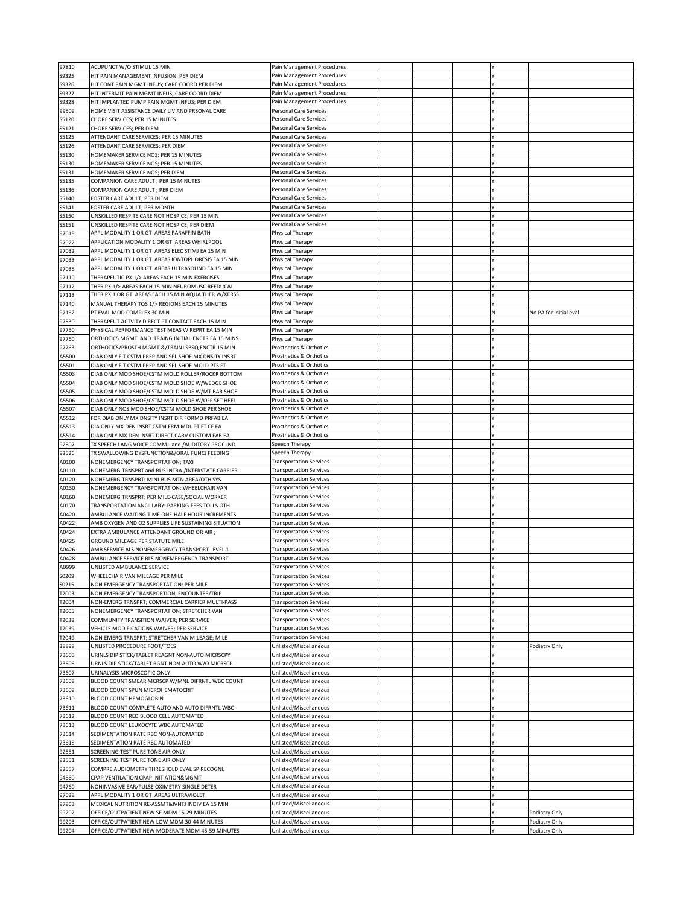| S9325          | ACUPUNCT W/O STIMUL 15 MIN                                                                          | Pain Management Procedures                                       |  |    |                                |
|----------------|-----------------------------------------------------------------------------------------------------|------------------------------------------------------------------|--|----|--------------------------------|
|                | HIT PAIN MANAGEMENT INFUSION; PER DIEM                                                              | Pain Management Procedures                                       |  |    |                                |
| S9326          | HIT CONT PAIN MGMT INFUS; CARE COORD PER DIEM                                                       | Pain Management Procedures                                       |  |    |                                |
| S9327          | HIT INTERMIT PAIN MGMT INFUS; CARE COORD DIEM                                                       | Pain Management Procedures                                       |  |    |                                |
| S9328          | HIT IMPLANTED PUMP PAIN MGMT INFUS; PER DIEM                                                        | Pain Management Procedures                                       |  |    |                                |
| 99509          | HOME VISIT ASSISTANCE DAILY LIV AND PRSONAL CARE                                                    | Personal Care Services                                           |  |    |                                |
| S5120          | CHORE SERVICES; PER 15 MINUTES                                                                      | Personal Care Services                                           |  |    |                                |
| S5121          | CHORE SERVICES; PER DIEM                                                                            | Personal Care Services                                           |  |    |                                |
| S5125          | ATTENDANT CARE SERVICES; PER 15 MINUTES                                                             | Personal Care Services                                           |  |    |                                |
| S5126          | ATTENDANT CARE SERVICES; PER DIEM                                                                   | Personal Care Services                                           |  |    |                                |
| S5130          | HOMEMAKER SERVICE NOS; PER 15 MINUTES                                                               | Personal Care Services                                           |  |    |                                |
| 55130          | HOMEMAKER SERVICE NOS; PER 15 MINUTES                                                               | Personal Care Services                                           |  |    |                                |
| S5131          | HOMEMAKER SERVICE NOS; PER DIEM                                                                     | Personal Care Services                                           |  |    |                                |
| S5135          | COMPANION CARE ADULT : PER 15 MINUTES                                                               | Personal Care Services                                           |  |    |                                |
| S5136          | COMPANION CARE ADULT ; PER DIEM                                                                     | Personal Care Services                                           |  |    |                                |
| S5140          | FOSTER CARE ADULT; PER DIEM                                                                         | Personal Care Services                                           |  |    |                                |
| S5141          | FOSTER CARE ADULT; PER MONTH                                                                        | Personal Care Services                                           |  |    |                                |
| S5150          | UNSKILLED RESPITE CARE NOT HOSPICE; PER 15 MIN                                                      | Personal Care Services                                           |  |    |                                |
| S5151          | UNSKILLED RESPITE CARE NOT HOSPICE; PER DIEM<br>APPL MODALITY 1 OR GT AREAS PARAFFIN BATH           | Personal Care Services                                           |  |    |                                |
| 97018          | APPLICATION MODALITY 1 OR GT AREAS WHIRLPOOL                                                        | Physical Therapy                                                 |  |    |                                |
| 97022          | APPL MODALITY 1 OR GT AREAS ELEC STIMJ EA 15 MIN                                                    | Physical Therapy                                                 |  |    |                                |
| 97032<br>97033 | APPL MODALITY 1 OR GT AREAS IONTOPHORESIS EA 15 MIN                                                 | Physical Therapy<br>Physical Therapy                             |  |    |                                |
| 97035          | APPL MODALITY 1 OR GT AREAS ULTRASOUND EA 15 MIN                                                    | Physical Therapy                                                 |  |    |                                |
| 97110          | THERAPEUTIC PX 1/> AREAS EACH 15 MIN EXERCISES                                                      | Physical Therapy                                                 |  |    |                                |
| 97112          | THER PX 1/> AREAS EACH 15 MIN NEUROMUSC REEDUCAJ                                                    | Physical Therapy                                                 |  |    |                                |
| 97113          | THER PX 1 OR GT AREAS EACH 15 MIN AQUA THER W/XERSS                                                 | Physical Therapy                                                 |  |    |                                |
| 97140          | MANUAL THERAPY TOS 1/> REGIONS EACH 15 MINUTES                                                      | Physical Therapy                                                 |  |    |                                |
| 97162          | PT EVAL MOD COMPLEX 30 MIN                                                                          | Physical Therapy                                                 |  | N  | No PA for initial eval         |
| 97530          | THERAPEUT ACTVITY DIRECT PT CONTACT EACH 15 MIN                                                     | Physical Therapy                                                 |  |    |                                |
| 97750          | PHYSICAL PERFORMANCE TEST MEAS W REPRT EA 15 MIN                                                    | Physical Therapy                                                 |  |    |                                |
| 97760          | ORTHOTICS MGMT AND TRAING INITIAL ENCTR EA 15 MINS                                                  | Physical Therapy                                                 |  |    |                                |
| 97763          | ORTHOTICS/PROSTH MGMT &/TRAINJ SBSQ ENCTR 15 MIN                                                    | Prosthetics & Orthotics                                          |  |    |                                |
| A5500          | DIAB ONLY FIT CSTM PREP AND SPL SHOE MX DNSITY INSRT                                                | Prosthetics & Orthotics                                          |  |    |                                |
| A5501          | DIAB ONLY FIT CSTM PREP AND SPL SHOE MOLD PTS FT                                                    | Prosthetics & Orthotics                                          |  |    |                                |
| A5503          | DIAB ONLY MOD SHOE/CSTM MOLD ROLLER/ROCKR BOTTOM                                                    | Prosthetics & Orthotics                                          |  |    |                                |
| <b>15504</b>   | DIAB ONLY MOD SHOE/CSTM MOLD SHOE W/WEDGE SHOE                                                      | Prosthetics & Orthotics                                          |  |    |                                |
| 45505          | DIAB ONLY MOD SHOE/CSTM MOLD SHOE W/MT BAR SHOE                                                     | Prosthetics & Orthotics                                          |  |    |                                |
| A5506          | DIAB ONLY MOD SHOE/CSTM MOLD SHOE W/OFF SET HEEL                                                    | Prosthetics & Orthotics                                          |  |    |                                |
| A5507          | DIAB ONLY NOS MOD SHOE/CSTM MOLD SHOE PER SHOE                                                      | Prosthetics & Orthotics                                          |  | l٧ |                                |
| 45512          | FOR DIAB ONLY MX DNSITY INSRT DIR FORMD PRFAB EA                                                    | Prosthetics & Orthotics                                          |  |    |                                |
| A5513          | DIA ONLY MX DEN INSRT CSTM FRM MDL PT FT CF EA                                                      | Prosthetics & Orthotics                                          |  |    |                                |
| A5514          | DIAB ONLY MX DEN INSRT DIRECT CARV CUSTOM FAB EA                                                    | Prosthetics & Orthotics                                          |  |    |                                |
| 92507          | TX SPEECH LANG VOICE COMMJ and /AUDITORY PROC IND                                                   | Speech Therapy                                                   |  |    |                                |
| 92526          | TX SWALLOWING DYSFUNCTION&/ORAL FUNCJ FEEDING                                                       | Speech Therapy                                                   |  |    |                                |
| A0100<br>A0110 | NONEMERGENCY TRANSPORTATION; TAXI<br>NONEMERG TRNSPRT and BUS INTRA-/INTERSTATE CARRIER             | <b>Transportation Services</b><br><b>Transportation Services</b> |  |    |                                |
| A0120          | NONEMERG TRNSPRT: MINI-BUS MTN AREA/OTH SYS                                                         | <b>Transportation Services</b>                                   |  |    |                                |
|                |                                                                                                     |                                                                  |  |    |                                |
|                |                                                                                                     |                                                                  |  |    |                                |
| A0130          | NONEMERGENCY TRANSPORTATION: WHEELCHAIR VAN                                                         | <b>Transportation Services</b>                                   |  |    |                                |
| A0160          | NONEMERG TRNSPRT: PER MILE-CASE/SOCIAL WORKER                                                       | <b>Transportation Services</b>                                   |  |    |                                |
| A0170          | TRANSPORTATION ANCILLARY: PARKING FEES TOLLS OTH<br>AMBULANCE WAITING TIME ONE-HALF HOUR INCREMENTS | <b>Transportation Services</b><br><b>Transportation Services</b> |  |    |                                |
| A0420<br>40422 | AMB OXYGEN AND O2 SUPPLIES LIFE SUSTAINING SITUATION                                                | <b>Transportation Services</b>                                   |  |    |                                |
| A0424          | EXTRA AMBULANCE ATTENDANT GROUND OR AIR ;                                                           | <b>Transportation Services</b>                                   |  |    |                                |
| A0425          | GROUND MILEAGE PER STATUTE MILE                                                                     | <b>Transportation Services</b>                                   |  |    |                                |
| A0426          | AMB SERVICE ALS NONEMERGENCY TRANSPORT LEVEL 1                                                      | <b>Transportation Services</b>                                   |  |    |                                |
| 40428          | AMBULANCE SERVICE BLS NONEMERGENCY TRANSPORT                                                        | <b>Transportation Services</b>                                   |  |    |                                |
| A0999          | UNLISTED AMBULANCE SERVICE                                                                          | <b>Transportation Services</b>                                   |  |    |                                |
| S0209          | WHEELCHAIR VAN MILEAGE PER MILE                                                                     | <b>Transportation Services</b>                                   |  |    |                                |
| S0215          | NON-EMERGENCY TRANSPORTATION; PER MILE                                                              | <b>Transportation Services</b>                                   |  |    |                                |
| T2003          | NON-EMERGENCY TRANSPORTION, ENCOUNTER/TRIP                                                          | <b>Transportation Services</b>                                   |  |    |                                |
| T2004          | NON-EMERG TRNSPRT; COMMERCIAL CARRIER MULTI-PASS                                                    | <b>Transportation Services</b>                                   |  |    |                                |
| T2005          | NONEMERGENCY TRANSPORTATION; STRETCHER VAN                                                          | <b>Transportation Services</b>                                   |  |    |                                |
| T2038          | COMMUNITY TRANSITION WAIVER; PER SERVICE                                                            | <b>Transportation Services</b>                                   |  |    |                                |
| T2039          | VEHICLE MODIFICATIONS WAIVER; PER SERVICE                                                           | <b>Transportation Services</b>                                   |  |    |                                |
| T2049          | NON-EMERG TRNSPRT; STRETCHER VAN MILEAGE; MILE                                                      | <b>Transportation Services</b>                                   |  |    |                                |
| 28899          | UNLISTED PROCEDURE FOOT/TOES                                                                        | Unlisted/Miscellaneous                                           |  |    | Podiatry Only                  |
| 73605          | URINLS DIP STICK/TABLET REAGNT NON-AUTO MICRSCPY                                                    | Unlisted/Miscellaneous                                           |  |    |                                |
| 73606          | URNLS DIP STICK/TABLET RGNT NON-AUTO W/O MICRSCP                                                    | Unlisted/Miscellaneous                                           |  |    |                                |
| 73607          | URINALYSIS MICROSCOPIC ONLY                                                                         | Unlisted/Miscellaneous                                           |  |    |                                |
| 73608          | BLOOD COUNT SMEAR MCRSCP W/MNL DIFRNTL WBC COUNT                                                    | Unlisted/Miscellaneous                                           |  | l٧ |                                |
| 73609<br>73610 | BLOOD COUNT SPUN MICROHEMATOCRIT<br>BLOOD COUNT HEMOGLOBIN                                          | Unlisted/Miscellaneous<br>Unlisted/Miscellaneous                 |  |    |                                |
| 73611          | BLOOD COUNT COMPLETE AUTO AND AUTO DIFRNTL WBC                                                      | Unlisted/Miscellaneous                                           |  |    |                                |
| 73612          | BLOOD COUNT RED BLOOD CELL AUTOMATED                                                                | Unlisted/Miscellaneous                                           |  |    |                                |
| 73613          | BLOOD COUNT LEUKOCYTE WBC AUTOMATED                                                                 | Unlisted/Miscellaneous                                           |  |    |                                |
| 73614          | SEDIMENTATION RATE RBC NON-AUTOMATED                                                                | Unlisted/Miscellaneous                                           |  |    |                                |
| 73615          | SEDIMENTATION RATE RBC AUTOMATED                                                                    | Unlisted/Miscellaneous                                           |  |    |                                |
| 92551          | SCREENING TEST PURE TONE AIR ONLY                                                                   | Unlisted/Miscellaneous                                           |  |    |                                |
| 92551          | SCREENING TEST PURE TONE AIR ONLY                                                                   | Unlisted/Miscellaneous                                           |  |    |                                |
| 92557          | COMPRE AUDIOMETRY THRESHOLD EVAL SP RECOGNIJ                                                        | Unlisted/Miscellaneous                                           |  |    |                                |
| 94660          | CPAP VENTILATION CPAP INITIATION&MGMT                                                               | Unlisted/Miscellaneous                                           |  |    |                                |
| 94760          | NONINVASIVE EAR/PULSE OXIMETRY SINGLE DETER                                                         | Unlisted/Miscellaneous                                           |  |    |                                |
| 97028          | APPL MODALITY 1 OR GT AREAS ULTRAVIOLET                                                             | Unlisted/Miscellaneous                                           |  |    |                                |
| 97803          | MEDICAL NUTRITION RE-ASSMT&IVNTJ INDIV EA 15 MIN                                                    | Unlisted/Miscellaneous                                           |  |    |                                |
| 99202<br>99203 | OFFICE/OUTPATIENT NEW SF MDM 15-29 MINUTES<br>OFFICE/OUTPATIENT NEW LOW MDM 30-44 MINUTES           | Unlisted/Miscellaneous<br>Unlisted/Miscellaneous                 |  |    | Podiatry Only<br>Podiatry Only |